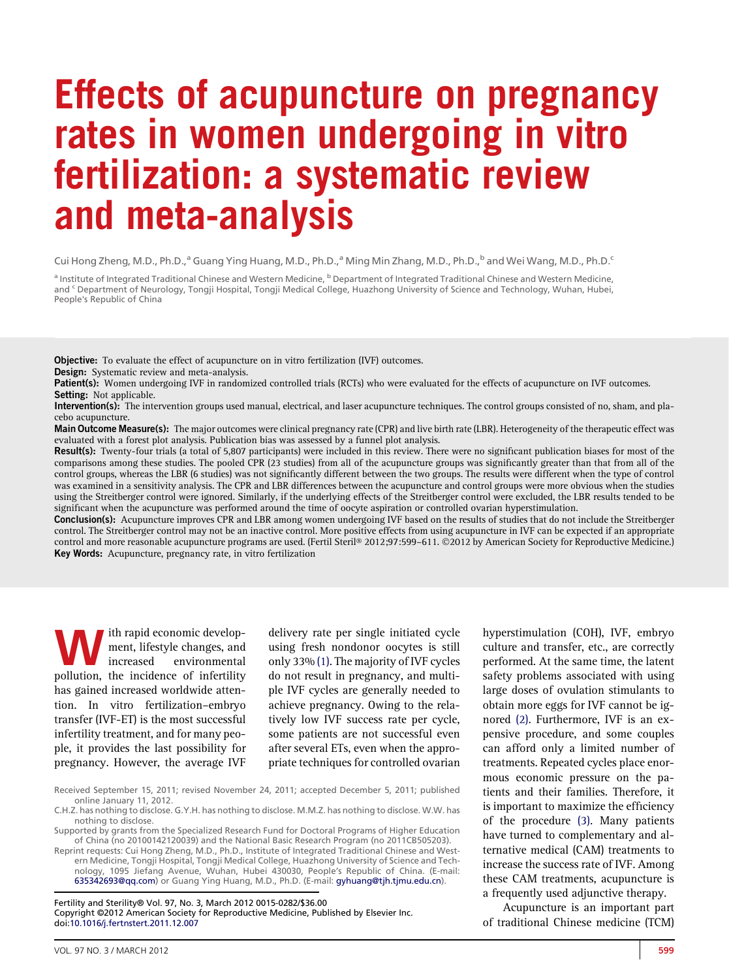# Effects of acupuncture on pregnancy rates in women undergoing in vitro fertilization: a systematic review and meta-analysis

Cui Hong Zheng, M.D., Ph.D.,<sup>a</sup> Guang Ying Huang, M.D., Ph.D.,<sup>a</sup> Ming Min Zhang, M.D., Ph.D.,<sup>b</sup> and Wei Wang, M.D., Ph.D.<sup>c</sup>

<sup>a</sup> Institute of Integrated Traditional Chinese and Western Medicine, <sup>b</sup> Department of Integrated Traditional Chinese and Western Medicine, and <sup>c</sup> Department of Neurology, Tongji Hospital, Tongji Medical College, Huazhong University of Science and Technology, Wuhan, Hubei, People's Republic of China

**Objective:** To evaluate the effect of acupuncture on in vitro fertilization (IVF) outcomes.

Design: Systematic review and meta-analysis.

Patient(s): Women undergoing IVF in randomized controlled trials (RCTs) who were evaluated for the effects of acupuncture on IVF outcomes. Setting: Not applicable.

Intervention(s): The intervention groups used manual, electrical, and laser acupuncture techniques. The control groups consisted of no, sham, and placebo acupuncture.

Main Outcome Measure(s): The major outcomes were clinical pregnancy rate (CPR) and live birth rate (LBR). Heterogeneity of the therapeutic effect was evaluated with a forest plot analysis. Publication bias was assessed by a funnel plot analysis.

Result(s): Twenty-four trials (a total of 5,807 participants) were included in this review. There were no significant publication biases for most of the comparisons among these studies. The pooled CPR (23 studies) from all of the acupuncture groups was significantly greater than that from all of the control groups, whereas the LBR (6 studies) was not significantly different between the two groups. The results were different when the type of control was examined in a sensitivity analysis. The CPR and LBR differences between the acupuncture and control groups were more obvious when the studies using the Streitberger control were ignored. Similarly, if the underlying effects of the Streitberger control were excluded, the LBR results tended to be significant when the acupuncture was performed around the time of oocyte aspiration or controlled ovarian hyperstimulation.

Conclusion(s): Acupuncture improves CPR and LBR among women undergoing IVF based on the results of studies that do not include the Streitberger control. The Streitberger control may not be an inactive control. More positive effects from using acupuncture in IVF can be expected if an appropriate control and more reasonable acupuncture programs are used. (Fertil Steril® 2012;97:599-611. ©2012 by American Society for Reproductive Medicine.) Key Words: Acupuncture, pregnancy rate, in vitro fertilization

With rapid economic develop-<br>ment, lifestyle changes, and<br>increased environmental<br>pollution the incidence of infertility ment, lifestyle changes, and increased environmental pollution, the incidence of infertility has gained increased worldwide attention. In vitro fertilization–embryo transfer (IVF-ET) is the most successful infertility treatment, and for many people, it provides the last possibility for pregnancy. However, the average IVF

delivery rate per single initiated cycle using fresh nondonor oocytes is still only 33% [\(1\).](#page-11-0) The majority of IVF cycles do not result in pregnancy, and multiple IVF cycles are generally needed to achieve pregnancy. Owing to the relatively low IVF success rate per cycle, some patients are not successful even after several ETs, even when the appropriate techniques for controlled ovarian

Received September 15, 2011; revised November 24, 2011; accepted December 5, 2011; published online January 11, 2012.

Supported by grants from the Specialized Research Fund for Doctoral Programs of Higher Education of China (no 20100142120039) and the National Basic Research Program (no 2011CB505203).

Reprint requests: Cui Hong Zheng, M.D., Ph.D., Institute of Integrated Traditional Chinese and Western Medicine, Tongji Hospital, Tongji Medical College, Huazhong University of Science and Technology, 1095 Jiefang Avenue, Wuhan, Hubei 430030, People's Republic of China. (E-mail: [635342693@qq.com\)](mailto:635342693@qq.com) or Guang Ying Huang, M.D., Ph.D. (E-mail: [gyhuang@tjh.tjmu.edu.cn\)](mailto:gyhuang@tjh.tjmu.edu.cn).

Fertility and Sterility® Vol. 97, No. 3, March 2012 0015-0282/\$36.00 Copyright ©2012 American Society for Reproductive Medicine, Published by Elsevier Inc. doi[:10.1016/j.fertnstert.2011.12.007](http://dx.doi.org/10.1016/j.fertnstert.2011.12.007)

hyperstimulation (COH), IVF, embryo culture and transfer, etc., are correctly performed. At the same time, the latent safety problems associated with using large doses of ovulation stimulants to obtain more eggs for IVF cannot be ignored [\(2\).](#page-11-0) Furthermore, IVF is an expensive procedure, and some couples can afford only a limited number of treatments. Repeated cycles place enormous economic pressure on the patients and their families. Therefore, it is important to maximize the efficiency of the procedure [\(3\).](#page-11-0) Many patients have turned to complementary and alternative medical (CAM) treatments to increase the success rate of IVF. Among these CAM treatments, acupuncture is a frequently used adjunctive therapy.

Acupuncture is an important part of traditional Chinese medicine (TCM)

C.H.Z. has nothing to disclose. G.Y.H. has nothing to disclose. M.M.Z. has nothing to disclose. W.W. has nothing to disclose.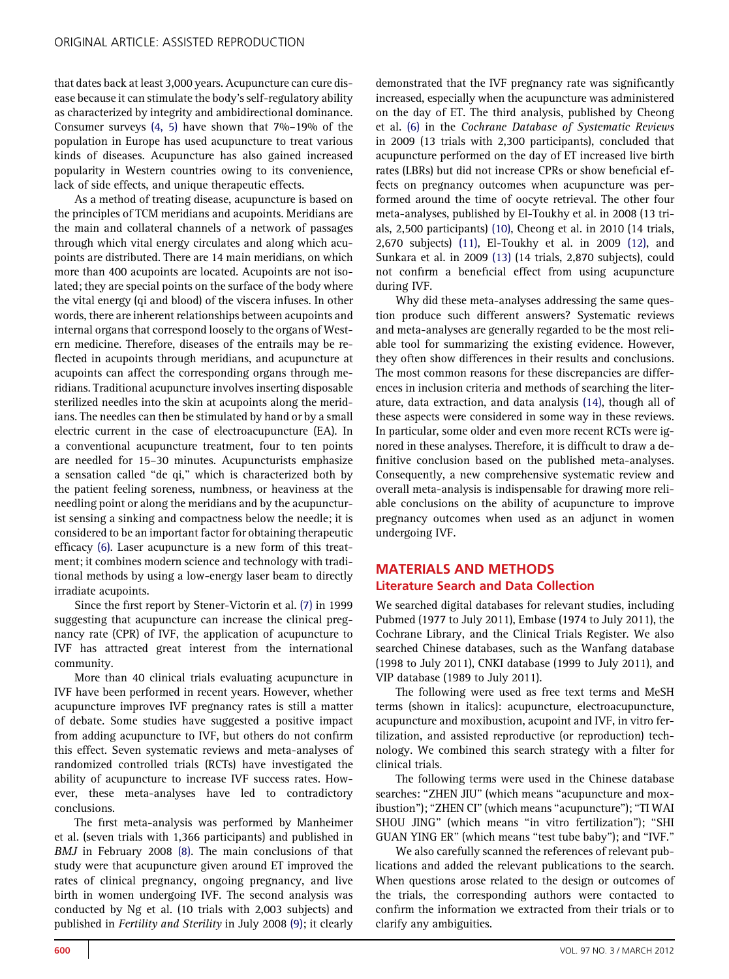that dates back at least 3,000 years. Acupuncture can cure disease because it can stimulate the body's self-regulatory ability as characterized by integrity and ambidirectional dominance. Consumer surveys  $(4, 5)$  have shown that  $7\%$ –19% of the population in Europe has used acupuncture to treat various kinds of diseases. Acupuncture has also gained increased popularity in Western countries owing to its convenience, lack of side effects, and unique therapeutic effects.

As a method of treating disease, acupuncture is based on the principles of TCM meridians and acupoints. Meridians are the main and collateral channels of a network of passages through which vital energy circulates and along which acupoints are distributed. There are 14 main meridians, on which more than 400 acupoints are located. Acupoints are not isolated; they are special points on the surface of the body where the vital energy (qi and blood) of the viscera infuses. In other words, there are inherent relationships between acupoints and internal organs that correspond loosely to the organs of Western medicine. Therefore, diseases of the entrails may be reflected in acupoints through meridians, and acupuncture at acupoints can affect the corresponding organs through meridians. Traditional acupuncture involves inserting disposable sterilized needles into the skin at acupoints along the meridians. The needles can then be stimulated by hand or by a small electric current in the case of electroacupuncture (EA). In a conventional acupuncture treatment, four to ten points are needled for 15–30 minutes. Acupuncturists emphasize a sensation called ''de qi,'' which is characterized both by the patient feeling soreness, numbness, or heaviness at the needling point or along the meridians and by the acupuncturist sensing a sinking and compactness below the needle; it is considered to be an important factor for obtaining therapeutic efficacy [\(6\)](#page-11-0). Laser acupuncture is a new form of this treatment; it combines modern science and technology with traditional methods by using a low-energy laser beam to directly irradiate acupoints.

Since the first report by Stener-Victorin et al. [\(7\)](#page-11-0) in 1999 suggesting that acupuncture can increase the clinical pregnancy rate (CPR) of IVF, the application of acupuncture to IVF has attracted great interest from the international community.

More than 40 clinical trials evaluating acupuncture in IVF have been performed in recent years. However, whether acupuncture improves IVF pregnancy rates is still a matter of debate. Some studies have suggested a positive impact from adding acupuncture to IVF, but others do not confirm this effect. Seven systematic reviews and meta-analyses of randomized controlled trials (RCTs) have investigated the ability of acupuncture to increase IVF success rates. However, these meta-analyses have led to contradictory conclusions.

The first meta-analysis was performed by Manheimer et al. (seven trials with 1,366 participants) and published in BMJ in February 2008 [\(8\).](#page-11-0) The main conclusions of that study were that acupuncture given around ET improved the rates of clinical pregnancy, ongoing pregnancy, and live birth in women undergoing IVF. The second analysis was conducted by Ng et al. (10 trials with 2,003 subjects) and published in Fertility and Sterility in July 2008 [\(9\)](#page-11-0); it clearly

demonstrated that the IVF pregnancy rate was significantly increased, especially when the acupuncture was administered on the day of ET. The third analysis, published by Cheong et al. [\(6\)](#page-11-0) in the Cochrane Database of Systematic Reviews in 2009 (13 trials with 2,300 participants), concluded that acupuncture performed on the day of ET increased live birth rates (LBRs) but did not increase CPRs or show beneficial effects on pregnancy outcomes when acupuncture was performed around the time of oocyte retrieval. The other four meta-analyses, published by El-Toukhy et al. in 2008 (13 trials, 2,500 participants) [\(10\),](#page-11-0) Cheong et al. in 2010 (14 trials, 2,670 subjects) [\(11\),](#page-11-0) El-Toukhy et al. in 2009 [\(12\),](#page-11-0) and Sunkara et al. in 2009 [\(13\)](#page-11-0) (14 trials, 2,870 subjects), could not confirm a beneficial effect from using acupuncture during IVF.

Why did these meta-analyses addressing the same question produce such different answers? Systematic reviews and meta-analyses are generally regarded to be the most reliable tool for summarizing the existing evidence. However, they often show differences in their results and conclusions. The most common reasons for these discrepancies are differences in inclusion criteria and methods of searching the literature, data extraction, and data analysis [\(14\),](#page-11-0) though all of these aspects were considered in some way in these reviews. In particular, some older and even more recent RCTs were ignored in these analyses. Therefore, it is difficult to draw a definitive conclusion based on the published meta-analyses. Consequently, a new comprehensive systematic review and overall meta-analysis is indispensable for drawing more reliable conclusions on the ability of acupuncture to improve pregnancy outcomes when used as an adjunct in women undergoing IVF.

## MATERIALS AND METHODS Literature Search and Data Collection

We searched digital databases for relevant studies, including Pubmed (1977 to July 2011), Embase (1974 to July 2011), the Cochrane Library, and the Clinical Trials Register. We also searched Chinese databases, such as the Wanfang database (1998 to July 2011), CNKI database (1999 to July 2011), and VIP database (1989 to July 2011).

The following were used as free text terms and MeSH terms (shown in italics): acupuncture, electroacupuncture, acupuncture and moxibustion, acupoint and IVF, in vitro fertilization, and assisted reproductive (or reproduction) technology. We combined this search strategy with a filter for clinical trials.

The following terms were used in the Chinese database searches: "ZHEN JIU" (which means "acupuncture and moxibustion"); "ZHEN CI" (which means "acupuncture"); "TI WAI SHOU JING" (which means "in vitro fertilization"); "SHI GUAN YING ER'' (which means ''test tube baby''); and ''IVF.''

We also carefully scanned the references of relevant publications and added the relevant publications to the search. When questions arose related to the design or outcomes of the trials, the corresponding authors were contacted to confirm the information we extracted from their trials or to clarify any ambiguities.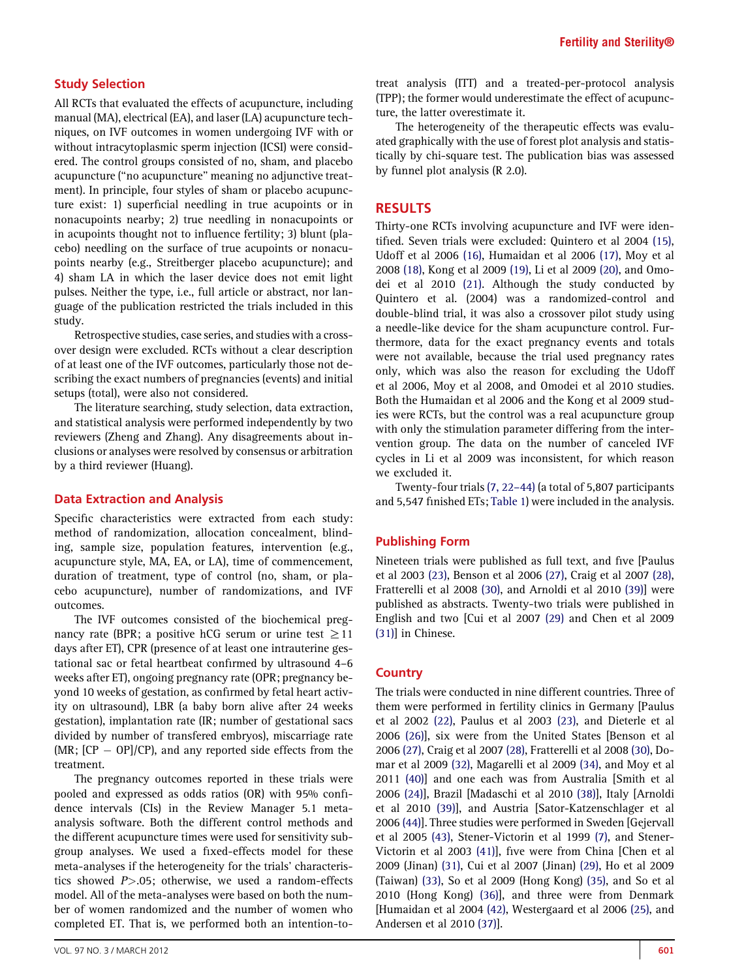#### Study Selection

All RCTs that evaluated the effects of acupuncture, including manual (MA), electrical (EA), and laser (LA) acupuncture techniques, on IVF outcomes in women undergoing IVF with or without intracytoplasmic sperm injection (ICSI) were considered. The control groups consisted of no, sham, and placebo acupuncture (''no acupuncture'' meaning no adjunctive treatment). In principle, four styles of sham or placebo acupuncture exist: 1) superficial needling in true acupoints or in nonacupoints nearby; 2) true needling in nonacupoints or in acupoints thought not to influence fertility; 3) blunt (placebo) needling on the surface of true acupoints or nonacupoints nearby (e.g., Streitberger placebo acupuncture); and 4) sham LA in which the laser device does not emit light pulses. Neither the type, i.e., full article or abstract, nor language of the publication restricted the trials included in this study.

Retrospective studies, case series, and studies with a crossover design were excluded. RCTs without a clear description of at least one of the IVF outcomes, particularly those not describing the exact numbers of pregnancies (events) and initial setups (total), were also not considered.

The literature searching, study selection, data extraction, and statistical analysis were performed independently by two reviewers (Zheng and Zhang). Any disagreements about inclusions or analyses were resolved by consensus or arbitration by a third reviewer (Huang).

#### Data Extraction and Analysis

Specific characteristics were extracted from each study: method of randomization, allocation concealment, blinding, sample size, population features, intervention (e.g., acupuncture style, MA, EA, or LA), time of commencement, duration of treatment, type of control (no, sham, or placebo acupuncture), number of randomizations, and IVF outcomes.

The IVF outcomes consisted of the biochemical pregnancy rate (BPR; a positive hCG serum or urine test  $\geq$  11 days after ET), CPR (presence of at least one intrauterine gestational sac or fetal heartbeat confirmed by ultrasound 4–6 weeks after ET), ongoing pregnancy rate (OPR; pregnancy beyond 10 weeks of gestation, as confirmed by fetal heart activity on ultrasound), LBR (a baby born alive after 24 weeks gestation), implantation rate (IR; number of gestational sacs divided by number of transfered embryos), miscarriage rate  $(MR; [CP - OP]/CP)$ , and any reported side effects from the treatment.

The pregnancy outcomes reported in these trials were pooled and expressed as odds ratios (OR) with 95% confidence intervals (CIs) in the Review Manager 5.1 metaanalysis software. Both the different control methods and the different acupuncture times were used for sensitivity subgroup analyses. We used a fixed-effects model for these meta-analyses if the heterogeneity for the trials' characteristics showed  $P > 0.05$ ; otherwise, we used a random-effects model. All of the meta-analyses were based on both the number of women randomized and the number of women who completed ET. That is, we performed both an intention-totreat analysis (ITT) and a treated-per-protocol analysis (TPP); the former would underestimate the effect of acupuncture, the latter overestimate it.

The heterogeneity of the therapeutic effects was evaluated graphically with the use of forest plot analysis and statistically by chi-square test. The publication bias was assessed by funnel plot analysis (R 2.0).

#### RESULTS

Thirty-one RCTs involving acupuncture and IVF were identified. Seven trials were excluded: Quintero et al 2004 [\(15\),](#page-11-0) Udoff et al 2006 [\(16\),](#page-11-0) Humaidan et al 2006 [\(17\),](#page-11-0) Moy et al 2008 [\(18\),](#page-11-0) Kong et al 2009 [\(19\),](#page-11-0) Li et al 2009 [\(20\),](#page-11-0) and Omodei et al 2010 [\(21\).](#page-11-0) Although the study conducted by Quintero et al. (2004) was a randomized-control and double-blind trial, it was also a crossover pilot study using a needle-like device for the sham acupuncture control. Furthermore, data for the exact pregnancy events and totals were not available, because the trial used pregnancy rates only, which was also the reason for excluding the Udoff et al 2006, Moy et al 2008, and Omodei et al 2010 studies. Both the Humaidan et al 2006 and the Kong et al 2009 studies were RCTs, but the control was a real acupuncture group with only the stimulation parameter differing from the intervention group. The data on the number of canceled IVF cycles in Li et al 2009 was inconsistent, for which reason we excluded it.

Twenty-four trials [\(7, 22](#page-11-0)–44) (a total of 5,807 participants and 5,547 finished ETs; [Table 1\)](#page-3-0) were included in the analysis.

#### Publishing Form

Nineteen trials were published as full text, and five [Paulus et al 2003 [\(23\)](#page-11-0), Benson et al 2006 [\(27\)](#page-11-0), Craig et al 2007 [\(28\),](#page-11-0) Fratterelli et al 2008 [\(30\)](#page-11-0), and Arnoldi et al 2010 [\(39\)\]](#page-12-0) were published as abstracts. Twenty-two trials were published in English and two [Cui et al 2007 [\(29\)](#page-11-0) and Chen et al 2009 [\(31\)\]](#page-11-0) in Chinese.

#### **Country**

The trials were conducted in nine different countries. Three of them were performed in fertility clinics in Germany [Paulus et al 2002 [\(22\),](#page-11-0) Paulus et al 2003 [\(23\)](#page-11-0), and Dieterle et al 2006 [\(26\)](#page-11-0)], six were from the United States [Benson et al 2006 [\(27\)](#page-11-0), Craig et al 2007 [\(28\),](#page-11-0) Fratterelli et al 2008 [\(30\),](#page-11-0) Domar et al 2009 [\(32\),](#page-12-0) Magarelli et al 2009 [\(34\)](#page-12-0), and Moy et al 2011 [\(40\)](#page-12-0)] and one each was from Australia [Smith et al 2006 [\(24\)\]](#page-11-0), Brazil [Madaschi et al 2010 [\(38\)](#page-12-0)], Italy [Arnoldi et al 2010 [\(39\)](#page-12-0)], and Austria [Sator-Katzenschlager et al 2006 [\(44\)\]](#page-12-0). Three studies were performed in Sweden [Gejervall et al 2005 [\(43\)](#page-12-0), Stener-Victorin et al 1999 [\(7\)](#page-11-0), and Stener-Victorin et al 2003 [\(41\)\]](#page-12-0), five were from China [Chen et al 2009 (Jinan) [\(31\)](#page-11-0), Cui et al 2007 (Jinan) [\(29\)](#page-11-0), Ho et al 2009 (Taiwan) [\(33\),](#page-12-0) So et al 2009 (Hong Kong) [\(35\),](#page-12-0) and So et al 2010 (Hong Kong) [\(36\)](#page-12-0)], and three were from Denmark [Humaidan et al 2004 [\(42\),](#page-12-0) Westergaard et al 2006 [\(25\)](#page-11-0), and Andersen et al 2010 [\(37\)\]](#page-12-0).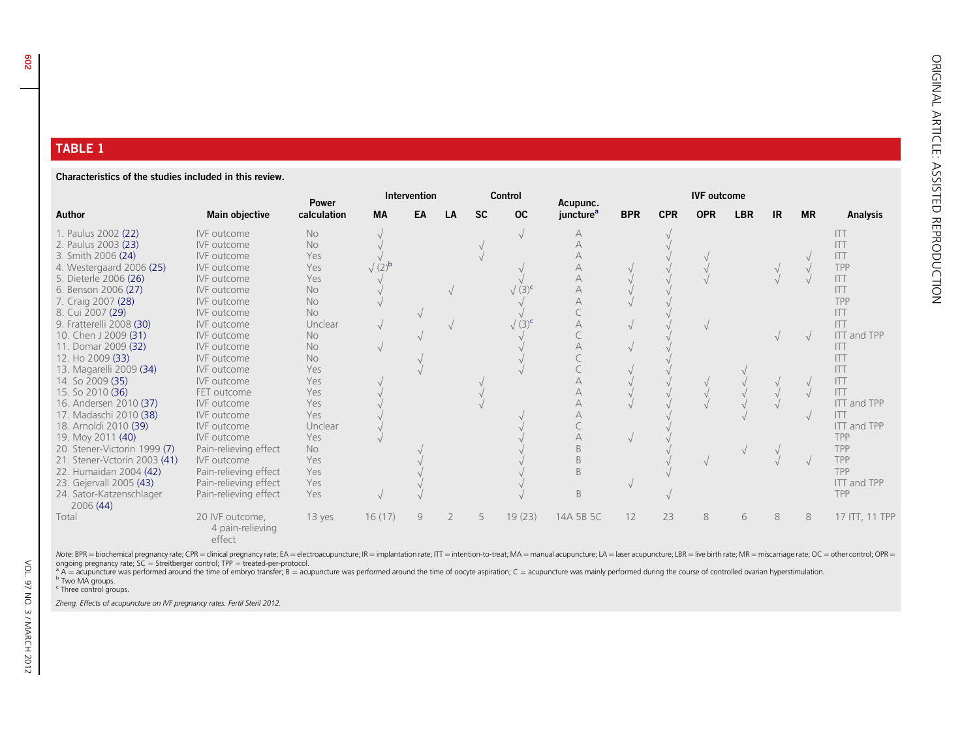#### <span id="page-3-0"></span>TABLE 1

Characteristics of the studies included in this review.

|                                      |                                               | <b>Power</b> |                | Intervention |    |           | Control        | Acupunc.              |            |            | <b>IVF</b> outcome |            |    |           |                    |
|--------------------------------------|-----------------------------------------------|--------------|----------------|--------------|----|-----------|----------------|-----------------------|------------|------------|--------------------|------------|----|-----------|--------------------|
| Author                               | Main objective                                | calculation  | <b>MA</b>      | EA           | LA | <b>SC</b> | <b>OC</b>      | juncture <sup>a</sup> | <b>BPR</b> | <b>CPR</b> | <b>OPR</b>         | <b>LBR</b> | IR | <b>MR</b> | <b>Analysis</b>    |
| 1. Paulus 2002 (22)                  | IVF outcome                                   | No.          |                |              |    |           |                | A                     |            |            |                    |            |    |           | ITT                |
| 2. Paulus 2003 (23)                  | IVF outcome                                   | <b>No</b>    |                |              |    |           |                |                       |            |            |                    |            |    |           | ITT                |
| 3. Smith 2006 (24)                   | IVF outcome                                   | Yes          |                |              |    |           |                |                       |            |            |                    |            |    |           | ITT                |
| 4. Westergaard 2006 (25)             | IVF outcome                                   | Yes          | $\sqrt{(2)^b}$ |              |    |           |                |                       |            |            |                    |            |    |           | TPP                |
| 5. Dieterle 2006 (26)                | IVF outcome                                   | Yes          |                |              |    |           |                |                       |            |            |                    |            |    |           | ITT                |
| 6. Benson 2006 (27)                  | IVF outcome                                   | <b>No</b>    |                |              |    |           | $\sqrt{(3)^c}$ |                       |            |            |                    |            |    |           | ITT                |
| 7. Craig 2007 (28)                   | IVF outcome                                   | <b>No</b>    |                |              |    |           |                |                       |            |            |                    |            |    |           | TPP                |
| 8. Cui 2007 (29)                     | IVF outcome                                   | <b>No</b>    |                |              |    |           |                |                       |            |            |                    |            |    |           | ITT                |
| 9. Fratterelli 2008 (30)             | IVF outcome                                   | Unclear      |                |              |    |           | $\sqrt{(3)^c}$ |                       |            |            |                    |            |    |           | ITT                |
| 10. Chen J 2009 (31)                 | IVF outcome                                   | <b>No</b>    |                |              |    |           |                |                       |            |            |                    |            |    |           | <b>ITT and TPP</b> |
| 11. Domar 2009 (32)                  | IVF outcome                                   | <b>No</b>    |                |              |    |           |                |                       |            |            |                    |            |    |           | ITT                |
| 12. Ho 2009 (33)                     | IVF outcome                                   | <b>No</b>    |                |              |    |           |                |                       |            |            |                    |            |    |           | ITT                |
| 13. Magarelli 2009 (34)              | IVF outcome                                   | Yes          |                |              |    |           |                |                       |            |            |                    |            |    |           | ITT                |
| 14. So 2009 (35)                     | IVF outcome                                   | Yes          |                |              |    |           |                |                       |            |            |                    |            |    |           | ITT                |
| 15. So 2010 (36)                     | FET outcome                                   | Yes          |                |              |    |           |                |                       |            |            |                    |            |    |           | ITT                |
| 16. Andersen 2010 (37)               | IVF outcome                                   | Yes          |                |              |    |           |                |                       |            |            |                    |            |    |           | <b>ITT and TPP</b> |
| 17. Madaschi 2010 (38)               | IVF outcome                                   | Yes          |                |              |    |           |                |                       |            |            |                    |            |    |           | ITT                |
| 18. Arnoldi 2010 (39)                | IVF outcome                                   | Unclear      |                |              |    |           |                |                       |            |            |                    |            |    |           | <b>ITT</b> and TPP |
| 19. Moy 2011 (40)                    | IVF outcome                                   | Yes          |                |              |    |           |                |                       |            |            |                    |            |    |           | TPP                |
| 20. Stener-Victorin 1999 (7)         | Pain-relieving effect                         | <b>No</b>    |                |              |    |           |                |                       |            |            |                    |            |    |           | TPP                |
| 21. Stener-Vctorin 2003 (41)         | IVF outcome                                   | Yes          |                |              |    |           |                |                       |            |            |                    |            |    |           | TPP                |
| 22. Humaidan 2004 (42)               | Pain-relieving effect                         | Yes          |                |              |    |           |                |                       |            |            |                    |            |    |           | TPP                |
| 23. Gejervall 2005 (43)              | Pain-relieving effect                         | Yes          |                |              |    |           |                |                       |            |            |                    |            |    |           | <b>ITT and TPP</b> |
| 24. Sator-Katzenschlager<br>2006(44) | Pain-relieving effect                         | Yes          |                |              |    |           |                | <sub>R</sub>          |            |            |                    |            |    |           | TPP                |
| Total                                | 20 IVF outcome.<br>4 pain-relieving<br>effect | 13 yes       | 16(17)         | 9            |    | 5         | 19(23)         | 14A 5B 5C             | 12         | 23         | 8                  | Б          | 8  | 8         | 17 ITT, 11 TPP     |

Note: BPR = biochemical pregnancy rate; CPR = clinical pregnancy rate; EA = electroacupuncture; IR = implantation rate; ITT = intention-to-treat; MA = manual acupuncture; LA = laser acupuncture; LBR = live birth rate; MR =

 $a^a$  A = acupuncture was performed around the time of embryo transfer; B = acupuncture was performed around the time of oocyte aspiration; C = acupuncture was mainly performed during the course of controlled ovarian hype

<sup>b</sup> Two MA groups.<br><sup>c</sup> Three control groups.

Zheng. Effects of acupuncture on IVF pregnancy rates. Fertil Steril 2012.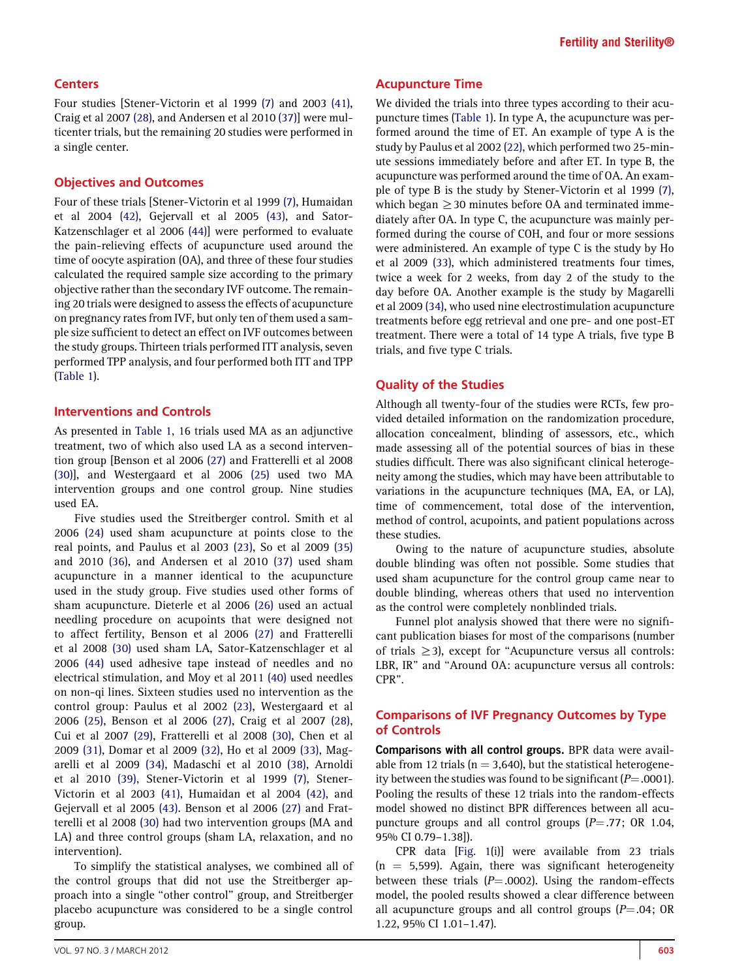#### **Centers**

Four studies [Stener-Victorin et al 1999 [\(7\)](#page-11-0) and 2003 [\(41\),](#page-12-0) Craig et al 2007 [\(28\)](#page-11-0), and Andersen et al 2010 [\(37\)\]](#page-12-0) were multicenter trials, but the remaining 20 studies were performed in a single center.

#### Objectives and Outcomes

Four of these trials [Stener-Victorin et al 1999 [\(7\),](#page-11-0) Humaidan et al 2004 [\(42\),](#page-12-0) Gejervall et al 2005 [\(43\),](#page-12-0) and Sator-Katzenschlager et al 2006 [\(44\)\]](#page-12-0) were performed to evaluate the pain-relieving effects of acupuncture used around the time of oocyte aspiration (OA), and three of these four studies calculated the required sample size according to the primary objective rather than the secondary IVF outcome. The remaining 20 trials were designed to assess the effects of acupuncture on pregnancy rates from IVF, but only ten of them used a sample size sufficient to detect an effect on IVF outcomes between the study groups. Thirteen trials performed ITT analysis, seven performed TPP analysis, and four performed both ITT and TPP [\(Table 1\)](#page-3-0).

#### Interventions and Controls

As presented in [Table 1,](#page-3-0) 16 trials used MA as an adjunctive treatment, two of which also used LA as a second intervention group [Benson et al 2006 [\(27\)](#page-11-0) and Fratterelli et al 2008 [\(30\)\]](#page-11-0), and Westergaard et al 2006 [\(25\)](#page-11-0) used two MA intervention groups and one control group. Nine studies used EA.

Five studies used the Streitberger control. Smith et al 2006 [\(24\)](#page-11-0) used sham acupuncture at points close to the real points, and Paulus et al 2003 [\(23\),](#page-11-0) So et al 2009 [\(35\)](#page-12-0) and 2010 [\(36\)](#page-12-0), and Andersen et al 2010 [\(37\)](#page-12-0) used sham acupuncture in a manner identical to the acupuncture used in the study group. Five studies used other forms of sham acupuncture. Dieterle et al 2006 [\(26\)](#page-11-0) used an actual needling procedure on acupoints that were designed not to affect fertility, Benson et al 2006 [\(27\)](#page-11-0) and Fratterelli et al 2008 [\(30\)](#page-11-0) used sham LA, Sator-Katzenschlager et al 2006 [\(44\)](#page-12-0) used adhesive tape instead of needles and no electrical stimulation, and Moy et al 2011 [\(40\)](#page-12-0) used needles on non-qi lines. Sixteen studies used no intervention as the control group: Paulus et al 2002 [\(23\)](#page-11-0), Westergaard et al 2006 [\(25\),](#page-11-0) Benson et al 2006 [\(27\)](#page-11-0), Craig et al 2007 [\(28\),](#page-11-0) Cui et al 2007 [\(29\),](#page-11-0) Fratterelli et al 2008 [\(30\)](#page-11-0), Chen et al 2009 [\(31\),](#page-11-0) Domar et al 2009 [\(32\)](#page-12-0), Ho et al 2009 [\(33\)](#page-12-0), Magarelli et al 2009 [\(34\)](#page-12-0), Madaschi et al 2010 [\(38\)](#page-12-0), Arnoldi et al 2010 [\(39\),](#page-12-0) Stener-Victorin et al 1999 [\(7\)](#page-11-0), Stener-Victorin et al 2003 [\(41\)](#page-12-0), Humaidan et al 2004 [\(42\)](#page-12-0), and Gejervall et al 2005 [\(43\).](#page-12-0) Benson et al 2006 [\(27\)](#page-11-0) and Fratterelli et al 2008 [\(30\)](#page-11-0) had two intervention groups (MA and LA) and three control groups (sham LA, relaxation, and no intervention).

To simplify the statistical analyses, we combined all of the control groups that did not use the Streitberger approach into a single ''other control'' group, and Streitberger placebo acupuncture was considered to be a single control group.

#### Acupuncture Time

We divided the trials into three types according to their acupuncture times [\(Table 1](#page-3-0)). In type A, the acupuncture was performed around the time of ET. An example of type A is the study by Paulus et al 2002 [\(22\),](#page-11-0) which performed two 25-minute sessions immediately before and after ET. In type B, the acupuncture was performed around the time of OA. An example of type B is the study by Stener-Victorin et al 1999 [\(7\),](#page-11-0) which began  $\geq$  30 minutes before OA and terminated immediately after OA. In type C, the acupuncture was mainly performed during the course of COH, and four or more sessions were administered. An example of type C is the study by Ho et al 2009 [\(33\),](#page-12-0) which administered treatments four times, twice a week for 2 weeks, from day 2 of the study to the day before OA. Another example is the study by Magarelli et al 2009 [\(34\)](#page-12-0), who used nine electrostimulation acupuncture treatments before egg retrieval and one pre- and one post-ET treatment. There were a total of 14 type A trials, five type B trials, and five type C trials.

#### Quality of the Studies

Although all twenty-four of the studies were RCTs, few provided detailed information on the randomization procedure, allocation concealment, blinding of assessors, etc., which made assessing all of the potential sources of bias in these studies difficult. There was also significant clinical heterogeneity among the studies, which may have been attributable to variations in the acupuncture techniques (MA, EA, or LA), time of commencement, total dose of the intervention, method of control, acupoints, and patient populations across these studies.

Owing to the nature of acupuncture studies, absolute double blinding was often not possible. Some studies that used sham acupuncture for the control group came near to double blinding, whereas others that used no intervention as the control were completely nonblinded trials.

Funnel plot analysis showed that there were no significant publication biases for most of the comparisons (number of trials  $\geq$ 3), except for "Acupuncture versus all controls: LBR, IR'' and ''Around OA: acupuncture versus all controls: CPR''.

#### Comparisons of IVF Pregnancy Outcomes by Type of Controls

Comparisons with all control groups. BPR data were available from 12 trials ( $n = 3,640$ ), but the statistical heterogeneity between the studies was found to be significant  $(P=.0001)$ . Pooling the results of these 12 trials into the random-effects model showed no distinct BPR differences between all acupuncture groups and all control groups  $(P = .77; \text{ OR } 1.04,$ 95% CI 0.79–1.38]).

CPR data [\[Fig. 1\(](#page-5-0)i)] were available from 23 trials  $(n = 5,599)$ . Again, there was significant heterogeneity between these trials  $(P=.0002)$ . Using the random-effects model, the pooled results showed a clear difference between all acupuncture groups and all control groups  $(P=.04; \text{OR})$ 1.22, 95% CI 1.01–1.47).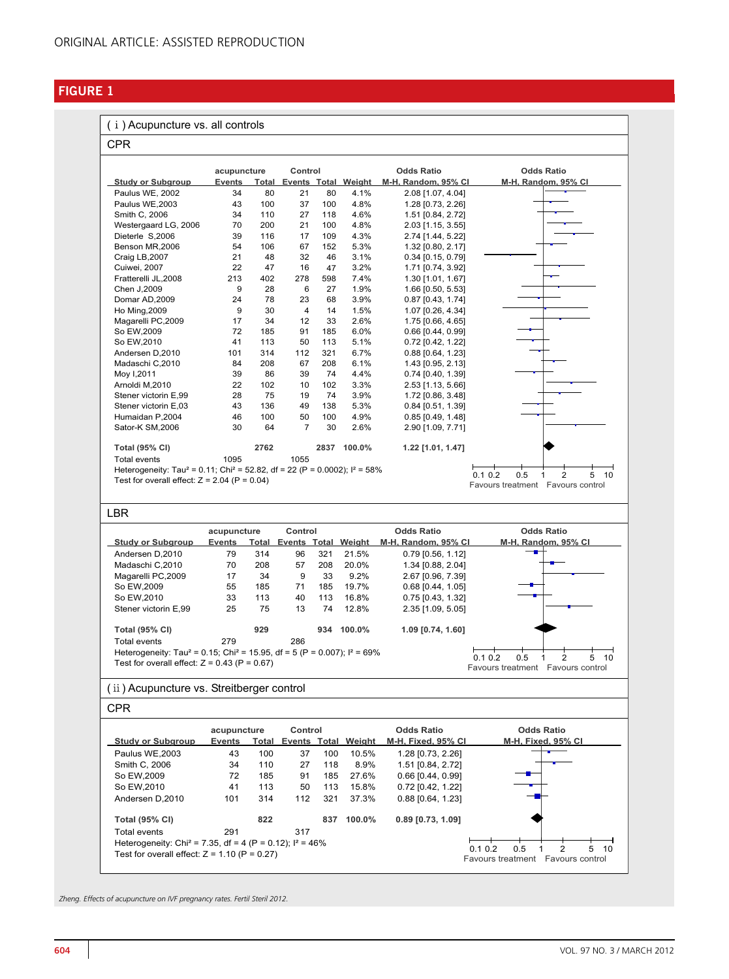## <span id="page-5-0"></span>FIGURE 1

#### (i) Acupuncture vs. all controls

CPR

|                                                                                                              | acupuncture   |      | Control        |      |                                  | <b>Odds Ratio</b>   | <b>Odds Ratio</b>                                                                |
|--------------------------------------------------------------------------------------------------------------|---------------|------|----------------|------|----------------------------------|---------------------|----------------------------------------------------------------------------------|
| <b>Study or Subgroup</b>                                                                                     | <b>Events</b> |      |                |      | <b>Total Events Total Weight</b> | M-H. Random. 95% CI | M-H. Random. 95% CI                                                              |
| Paulus WE, 2002                                                                                              | 34            | 80   | 21             | 80   | 4.1%                             | 2.08 [1.07, 4.04]   |                                                                                  |
| Paulus WE, 2003                                                                                              | 43            | 100  | 37             | 100  | 4.8%                             | 1.28 [0.73, 2.26]   |                                                                                  |
| Smith C, 2006                                                                                                | 34            | 110  | 27             | 118  | 4.6%                             | 1.51 [0.84, 2.72]   |                                                                                  |
| Westergaard LG, 2006                                                                                         | 70            | 200  | 21             | 100  | 4.8%                             | 2.03 [1.15, 3.55]   |                                                                                  |
| Dieterle S,2006                                                                                              | 39            | 116  | 17             | 109  | 4.3%                             | 2.74 [1.44, 5.22]   |                                                                                  |
| Benson MR,2006                                                                                               | 54            | 106  | 67             | 152  | 5.3%                             | 1.32 [0.80, 2.17]   |                                                                                  |
| Craig LB, 2007                                                                                               | 21            | 48   | 32             | 46   | 3.1%                             | 0.34 [0.15, 0.79]   |                                                                                  |
| Cuiwei, 2007                                                                                                 | 22            | 47   | 16             | 47   | 3.2%                             | 1.71 [0.74, 3.92]   |                                                                                  |
| Fratterelli JL, 2008                                                                                         | 213           | 402  | 278            | 598  | 7.4%                             | 1.30 [1.01, 1.67]   |                                                                                  |
| Chen J.2009                                                                                                  | 9             | 28   | 6              | 27   | 1.9%                             | 1.66 [0.50, 5.53]   |                                                                                  |
| Domar AD.2009                                                                                                | 24            | 78   | 23             | 68   | 3.9%                             | 0.87 [0.43, 1.74]   |                                                                                  |
| <b>Ho Ming, 2009</b>                                                                                         | 9             | 30   | 4              | 14   | 1.5%                             | 1.07 [0.26, 4.34]   |                                                                                  |
| Magarelli PC,2009                                                                                            | 17            | 34   | 12             | 33   | 2.6%                             | 1.75 [0.66, 4.65]   |                                                                                  |
| So EW, 2009                                                                                                  | 72            | 185  | 91             | 185  | 6.0%                             | 0.66 [0.44, 0.99]   |                                                                                  |
| So EW, 2010                                                                                                  | 41            | 113  | 50             | 113  | 5.1%                             | 0.72 [0.42, 1.22]   |                                                                                  |
| Andersen D,2010                                                                                              | 101           | 314  | 112            | 321  | 6.7%                             | 0.88 [0.64, 1.23]   |                                                                                  |
| Madaschi C,2010                                                                                              | 84            | 208  | 67             | 208  | 6.1%                             | 1.43 [0.95, 2.13]   |                                                                                  |
| Moy 1,2011                                                                                                   | 39            | 86   | 39             | 74   | 4.4%                             | 0.74 [0.40, 1.39]   |                                                                                  |
| Arnoldi M,2010                                                                                               | 22            | 102  | 10             | 102  | 3.3%                             | 2.53 [1.13, 5.66]   |                                                                                  |
| Stener victorin E,99                                                                                         | 28            | 75   | 19             | 74   | 3.9%                             | 1.72 [0.86, 3.48]   |                                                                                  |
| Stener victorin E,03                                                                                         | 43            | 136  | 49             | 138  | 5.3%                             | $0.84$ [0.51, 1.39] |                                                                                  |
| Humaidan P.2004                                                                                              | 46            | 100  | 50             | 100  | 4.9%                             | 0.85 [0.49, 1.48]   |                                                                                  |
| Sator-K SM, 2006                                                                                             | 30            | 64   | $\overline{7}$ | 30   | 2.6%                             | 2.90 [1.09, 7.71]   |                                                                                  |
| <b>Total (95% CI)</b>                                                                                        |               | 2762 |                | 2837 | 100.0%                           | 1.22 [1.01, 1.47]   |                                                                                  |
| <b>Total events</b>                                                                                          | 1095          |      | 1055           |      |                                  |                     |                                                                                  |
| Heterogeneity: Tau <sup>2</sup> = 0.11; Chi <sup>2</sup> = 52.82, df = 22 (P = 0.0002); l <sup>2</sup> = 58% |               |      |                |      |                                  |                     |                                                                                  |
| Test for overall effect: $Z = 2.04$ (P = 0.04)                                                               |               |      |                |      |                                  |                     | 0.5<br>$\overline{2}$<br>0.1 0.2<br>5<br>10<br>Favours treatment Favours control |

#### LBR

|                                                                                                   | acupuncture   |     | Control                   |     |               | <b>Odds Ratio</b>   | <b>Odds Ratio</b>                 |
|---------------------------------------------------------------------------------------------------|---------------|-----|---------------------------|-----|---------------|---------------------|-----------------------------------|
| <b>Study or Subgroup</b>                                                                          | <b>Events</b> |     | <b>Total Events Total</b> |     | <b>Weight</b> | M-H. Random, 95% CI | M-H. Random, 95% CI               |
| Andersen D.2010                                                                                   | 79            | 314 | 96                        | 321 | 21.5%         | $0.79$ [0.56, 1.12] |                                   |
| Madaschi C.2010                                                                                   | 70            | 208 | 57                        | 208 | 20.0%         | 1.34 [0.88, 2.04]   |                                   |
| Magarelli PC,2009                                                                                 | 17            | 34  | 9                         | 33  | 9.2%          | 2.67 [0.96, 7.39]   |                                   |
| So EW.2009                                                                                        | 55            | 185 | 71                        | 185 | 19.7%         | $0.68$ [0.44, 1.05] |                                   |
| So EW.2010                                                                                        | 33            | 113 | 40                        | 113 | 16.8%         | $0.75$ [0.43, 1.32] |                                   |
| Stener victorin E.99                                                                              | 25            | 75  | 13                        | 74  | 12.8%         | 2.35 [1.09, 5.05]   |                                   |
| <b>Total (95% CI)</b>                                                                             |               | 929 |                           | 934 | 100.0%        | 1.09 [0.74, 1.60]   |                                   |
| Total events                                                                                      | 279           |     | 286                       |     |               |                     |                                   |
| Heterogeneity: Tau <sup>2</sup> = 0.15; Chi <sup>2</sup> = 15.95, df = 5 (P = 0.007); $1^2$ = 69% |               |     |                           |     |               |                     |                                   |
| Test for overall effect: $Z = 0.43$ (P = 0.67)                                                    |               |     |                           |     |               |                     | 5<br>0.10.2<br>っ<br>0.5<br>10     |
|                                                                                                   |               |     |                           |     |               |                     | Favours treatment Favours control |



Zheng. Effects of acupuncture on IVF pregnancy rates. Fertil Steril 2012.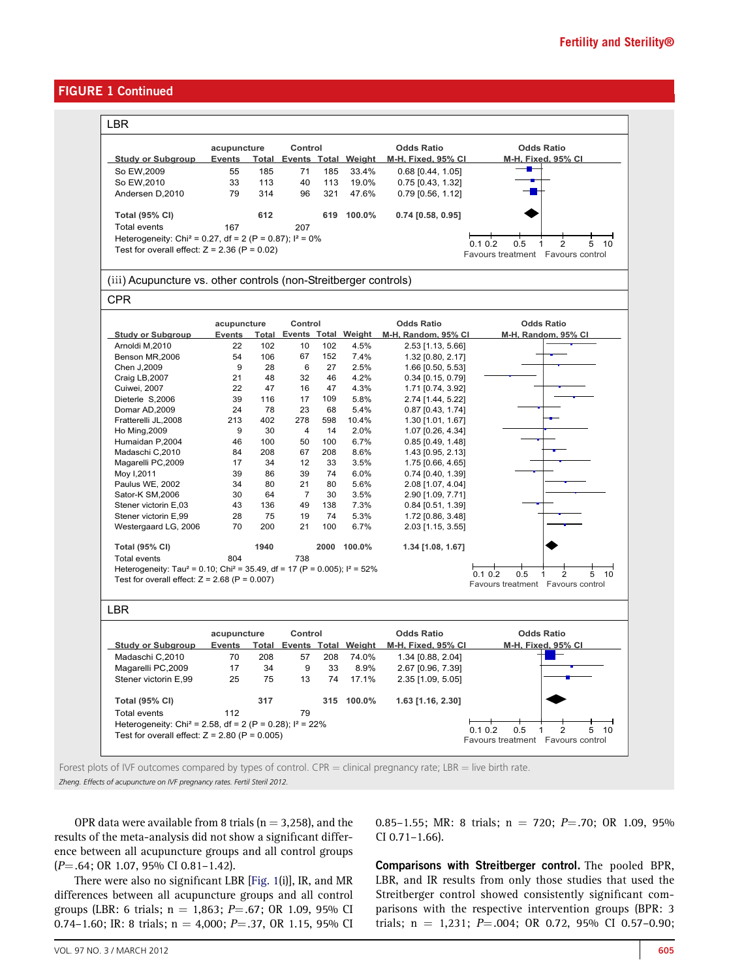## FIGURE 1 Continued

| LBR                                                                                                                       |               |           |                                  |           |              |                                              |                                                                                        |
|---------------------------------------------------------------------------------------------------------------------------|---------------|-----------|----------------------------------|-----------|--------------|----------------------------------------------|----------------------------------------------------------------------------------------|
|                                                                                                                           | acupuncture   |           | Control                          |           |              | <b>Odds Ratio</b>                            | <b>Odds Ratio</b>                                                                      |
| <b>Study or Subgroup</b>                                                                                                  | Events        |           |                                  |           |              | Total Events Total Weight M-H, Fixed, 95% Cl | M-H, Fixed, 95% CI                                                                     |
| So EW.2009                                                                                                                | 55            | 185       | 71                               | 185       | 33.4%        | $0.68$ [0.44, 1.05]                          |                                                                                        |
| So EW, 2010                                                                                                               | 33            | 113       | 40                               | 113       | 19.0%        | 0.75 [0.43, 1.32]                            |                                                                                        |
| Andersen D,2010                                                                                                           | 79            | 314       | 96                               | 321       | 47.6%        | 0.79 [0.56, 1.12]                            |                                                                                        |
| <b>Total (95% CI)</b>                                                                                                     |               | 612       |                                  | 619       | 100.0%       | $0.74$ [0.58, 0.95]                          |                                                                                        |
| <b>Total events</b>                                                                                                       | 167           |           | 207                              |           |              |                                              |                                                                                        |
| Heterogeneity: Chi <sup>2</sup> = 0.27, df = 2 (P = 0.87); $I^2 = 0\%$<br>Test for overall effect: $Z = 2.36$ (P = 0.02)  |               |           |                                  |           |              |                                              | 0.1 0.2<br>0.5<br>$\overline{2}$<br>10<br>5<br>1<br>Favours treatment  Favours control |
| (iii) Acupuncture vs. other controls (non-Streitberger controls)                                                          |               |           |                                  |           |              |                                              |                                                                                        |
| <b>CPR</b>                                                                                                                |               |           |                                  |           |              |                                              |                                                                                        |
|                                                                                                                           | acupuncture   |           | Control                          |           |              | <b>Odds Ratio</b>                            | <b>Odds Ratio</b>                                                                      |
| <b>Study or Subgroup</b>                                                                                                  | <b>Events</b> |           | <b>Total Events Total Weight</b> |           |              | M-H, Random, 95% CI                          | M-H, Random, 95% CI                                                                    |
| Arnoldi M,2010                                                                                                            | 22            | 102       | 10                               | 102       | 4.5%         | 2.53 [1.13, 5.66]                            |                                                                                        |
| Benson MR,2006                                                                                                            | 54            | 106       | 67                               | 152       | 7.4%         | 1.32 [0.80, 2.17]                            |                                                                                        |
| Chen J,2009                                                                                                               | 9             | 28        | 6                                | 27        | 2.5%         | 1.66 [0.50, 5.53]                            |                                                                                        |
| Craig LB, 2007                                                                                                            | 21            | 48        | 32                               | 46        | 4.2%         | $0.34$ [0.15, 0.79]                          |                                                                                        |
| Cuiwei, 2007                                                                                                              | 22<br>39      | 47<br>116 | 16<br>17                         | 47<br>109 | 4.3%<br>5.8% | 1.71 [0.74, 3.92]                            |                                                                                        |
| Dieterle S,2006<br>Domar AD, 2009                                                                                         | 24            | 78        | 23                               | 68        | 5.4%         | 2.74 [1.44, 5.22]<br>0.87 [0.43, 1.74]       |                                                                                        |
| Fratterelli JL, 2008                                                                                                      | 213           | 402       | 278                              | 598       | 10.4%        | 1.30 [1.01, 1.67]                            |                                                                                        |
| <b>Ho Ming, 2009</b>                                                                                                      | 9             | 30        | $\overline{4}$                   | 14        | 2.0%         | 1.07 [0.26, 4.34]                            |                                                                                        |
| Humaidan P,2004                                                                                                           | 46            | 100       | 50                               | 100       | 6.7%         | 0.85 [0.49, 1.48]                            |                                                                                        |
| Madaschi C,2010                                                                                                           | 84            | 208       | 67                               | 208       | 8.6%         | 1.43 [0.95, 2.13]                            |                                                                                        |
| Magarelli PC,2009                                                                                                         | 17            | 34        | 12                               | 33        | 3.5%         | 1.75 [0.66, 4.65]                            |                                                                                        |
| Moy 1,2011                                                                                                                | 39            | 86        | 39                               | 74        | 6.0%         | $0.74$ [0.40, 1.39]                          |                                                                                        |
| Paulus WE, 2002                                                                                                           | 34            | 80        | 21                               | 80        | 5.6%         | 2.08 [1.07, 4.04]                            |                                                                                        |
| Sator-K SM, 2006                                                                                                          | 30            | 64        | $\overline{7}$                   | 30        | 3.5%         | 2.90 [1.09, 7.71]                            |                                                                                        |
| Stener victorin E,03                                                                                                      | 43            | 136       | 49                               | 138       | 7.3%         | 0.84 [0.51, 1.39]                            |                                                                                        |
| Stener victorin E,99                                                                                                      | 28            | 75        | 19                               | 74        | 5.3%         | 1.72 [0.86, 3.48]                            |                                                                                        |
| Westergaard LG, 2006                                                                                                      | 70            | 200       | 21                               | 100       | 6.7%         | 2.03 [1.15, 3.55]                            |                                                                                        |
| <b>Total (95% CI)</b>                                                                                                     |               | 1940      |                                  |           | 2000 100.0%  | 1.34 [1.08, 1.67]                            |                                                                                        |
| <b>Total events</b>                                                                                                       | 804           |           | 738                              |           |              |                                              |                                                                                        |
| Heterogeneity: Tau <sup>2</sup> = 0.10; Chi <sup>2</sup> = 35.49, df = 17 (P = 0.005); l <sup>2</sup> = 52%               |               |           |                                  |           |              |                                              | 5                                                                                      |
| Test for overall effect: $Z = 2.68$ (P = 0.007)                                                                           |               |           |                                  |           |              |                                              | 0.1 0.2<br>0.5<br>2<br>10<br>1<br>Favours treatment  Favours control                   |
| LBR                                                                                                                       |               |           |                                  |           |              |                                              |                                                                                        |
|                                                                                                                           | acupuncture   |           | Control                          |           |              | <b>Odds Ratio</b>                            | <b>Odds Ratio</b>                                                                      |
| <b>Study or Subgroup</b>                                                                                                  | Events        |           |                                  |           |              | Total Events Total Weight M-H, Fixed, 95% CI | <b>M-H, Fixed, 95% CI</b>                                                              |
| Madaschi C,2010                                                                                                           | 70            | 208       | 57                               | 208       | 74.0%        | 1.34 [0.88, 2.04]                            |                                                                                        |
| Magarelli PC,2009                                                                                                         | 17            | 34        | 9                                | 33        | 8.9%         | 2.67 [0.96, 7.39]                            |                                                                                        |
| Stener victorin E,99                                                                                                      | 25            | 75        | 13                               | 74        | 17.1%        | 2.35 [1.09, 5.05]                            |                                                                                        |
| <b>Total (95% CI)</b>                                                                                                     |               | 317       |                                  |           | 315 100.0%   | 1.63 [1.16, 2.30]                            |                                                                                        |
| <b>Total events</b>                                                                                                       | 112           |           | 79                               |           |              |                                              |                                                                                        |
| Heterogeneity: Chi <sup>2</sup> = 2.58, df = 2 (P = 0.28); $I^2$ = 22%<br>Test for overall effect: $Z = 2.80$ (P = 0.005) |               |           |                                  |           |              |                                              | 0.1 0.2<br>0.5<br>$\overline{2}$<br>5<br>10<br>Favours treatment  Favours control      |

Forest plots of IVF outcomes compared by types of control. CPR = clinical pregnancy rate; LBR = live birth rate. Zheng. Effects of acupuncture on IVF pregnancy rates. Fertil Steril 2012.

OPR data were available from 8 trials ( $n = 3,258$ ), and the results of the meta-analysis did not show a significant difference between all acupuncture groups and all control groups (P¼.64; OR 1.07, 95% CI 0.81–1.42).

There were also no significant LBR [[Fig. 1](#page-5-0)(i)], IR, and MR differences between all acupuncture groups and all control groups (LBR: 6 trials;  $n = 1,863$ ;  $P = .67$ ; OR 1.09, 95% CI 0.74–1.60; IR: 8 trials;  $n = 4,000$ ;  $P = 0.37$ , OR 1.15, 95% CI 0.85–1.55; MR: 8 trials;  $n = 720$ ;  $P = .70$ ; OR 1.09, 95% CI 0.71–1.66).

Comparisons with Streitberger control. The pooled BPR, LBR, and IR results from only those studies that used the Streitberger control showed consistently significant comparisons with the respective intervention groups (BPR: 3 trials;  $n = 1,231$ ;  $P = .004$ ; OR 0.72, 95% CI 0.57-0.90;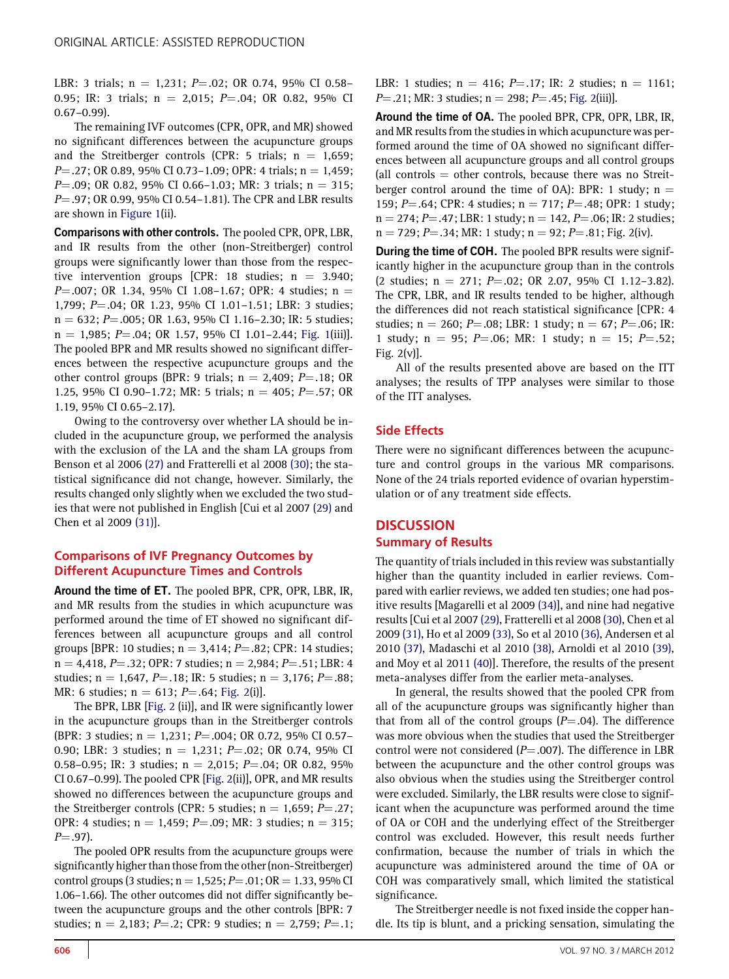LBR: 3 trials;  $n = 1,231$ ;  $P = .02$ ; OR 0.74, 95% CI 0.58-0.95; IR: 3 trials;  $n = 2,015$ ;  $P = .04$ ; OR 0.82, 95% CI 0.67–0.99).

The remaining IVF outcomes (CPR, OPR, and MR) showed no significant differences between the acupuncture groups and the Streitberger controls (CPR: 5 trials;  $n = 1,659$ ;  $P = .27$ ; OR 0.89, 95% CI 0.73–1.09; OPR: 4 trials; n = 1,459;  $P = .09$ ; OR 0.82, 95% CI 0.66-1.03; MR: 3 trials; n = 315; P = .97; OR 0.99, 95% CI 0.54-1.81). The CPR and LBR results are shown in [Figure 1](#page-5-0)(ii).

Comparisons with other controls. The pooled CPR, OPR, LBR, and IR results from the other (non-Streitberger) control groups were significantly lower than those from the respective intervention groups [CPR: 18 studies;  $n = 3.940$ ;  $P = .007$ ; OR 1.34, 95% CI 1.08-1.67; OPR: 4 studies; n = 1,799; P=.04; OR 1.23, 95% CI 1.01-1.51; LBR: 3 studies;  $n = 632$ ; P=.005; OR 1.63, 95% CI 1.16-2.30; IR: 5 studies;  $n = 1,985; P = .04; OR 1.57, 95% CI 1.01-2.44; Fig. 1(iii)].$  $n = 1,985; P = .04; OR 1.57, 95% CI 1.01-2.44; Fig. 1(iii)].$  $n = 1,985; P = .04; OR 1.57, 95% CI 1.01-2.44; Fig. 1(iii)].$ The pooled BPR and MR results showed no significant differences between the respective acupuncture groups and the other control groups (BPR: 9 trials;  $n = 2,409$ ;  $P = .18$ ; OR 1.25, 95% CI 0.90-1.72; MR: 5 trials;  $n = 405$ ;  $P = .57$ ; OR 1.19, 95% CI 0.65–2.17).

Owing to the controversy over whether LA should be included in the acupuncture group, we performed the analysis with the exclusion of the LA and the sham LA groups from Benson et al 2006 [\(27\)](#page-11-0) and Fratterelli et al 2008 [\(30\)](#page-11-0); the statistical significance did not change, however. Similarly, the results changed only slightly when we excluded the two studies that were not published in English [Cui et al 2007 [\(29\)](#page-11-0) and Chen et al 2009 [\(31\)\]](#page-11-0).

## Comparisons of IVF Pregnancy Outcomes by Different Acupuncture Times and Controls

Around the time of ET. The pooled BPR, CPR, OPR, LBR, IR, and MR results from the studies in which acupuncture was performed around the time of ET showed no significant differences between all acupuncture groups and all control groups [BPR: 10 studies;  $n = 3,414$ ;  $P = .82$ ; CPR: 14 studies;  $n = 4,418$ ,  $P = .32$ ; OPR: 7 studies;  $n = 2,984$ ;  $P = .51$ ; LBR: 4 studies;  $n = 1,647, P = .18$ ; IR: 5 studies;  $n = 3,176; P = .88$ ; MR: 6 studies;  $n = 613$ ;  $P = .64$ ; [Fig. 2](#page-8-0)(i)].

The BPR, LBR [[Fig. 2](#page-8-0) (ii)], and IR were significantly lower in the acupuncture groups than in the Streitberger controls (BPR: 3 studies;  $n = 1,231$ ;  $P = .004$ ; OR 0.72, 95% CI 0.57– 0.90; LBR: 3 studies;  $n = 1,231$ ;  $P = .02$ ; OR 0.74, 95% CI 0.58–0.95; IR: 3 studies;  $n = 2,015$ ;  $P = .04$ ; OR 0.82, 95% CI 0.67–0.99). The pooled CPR [[Fig. 2\(](#page-8-0)ii)], OPR, and MR results showed no differences between the acupuncture groups and the Streitberger controls (CPR: 5 studies;  $n = 1,659$ ;  $P = .27$ ; OPR: 4 studies;  $n = 1,459$ ;  $P = .09$ ; MR: 3 studies;  $n = 315$ ;  $P = .97$ ).

The pooled OPR results from the acupuncture groups were significantly higher than those from the other (non-Streitberger) control groups (3 studies;  $n = 1.525$ ;  $P = .01$ ;  $OR = 1.33$ , 95% CI 1.06–1.66). The other outcomes did not differ significantly between the acupuncture groups and the other controls [BPR: 7 studies; n = 2,183; P = .2; CPR: 9 studies; n = 2,759; P = .1; LBR: 1 studies;  $n = 416$ ;  $P = .17$ ; IR: 2 studies;  $n = 1161$ ;  $P = .21$ ; MR: 3 studies; n = 298; P = .45; [Fig. 2](#page-8-0)(iii)].

Around the time of OA. The pooled BPR, CPR, OPR, LBR, IR, and MR results from the studies in which acupuncture was performed around the time of OA showed no significant differences between all acupuncture groups and all control groups (all controls  $=$  other controls, because there was no Streitberger control around the time of OA): BPR: 1 study;  $n =$ 159; P = .64; CPR: 4 studies;  $n = 717$ ; P = .48; OPR: 1 study;  $n = 274$ ;  $P = .47$ ; LBR: 1 study;  $n = 142$ ,  $P = .06$ ; IR: 2 studies;  $n = 729$ ; P=.34; MR: 1 study;  $n = 92$ ; P=.81; Fig. 2(iv).

During the time of COH. The pooled BPR results were significantly higher in the acupuncture group than in the controls  $(2 \text{ studies}; n = 271; P=.02; OR 2.07, 95% CI 1.12-3.82).$ The CPR, LBR, and IR results tended to be higher, although the differences did not reach statistical significance [CPR: 4 studies; n = 260; P=.08; LBR: 1 study; n = 67; P=.06; IR: 1 study;  $n = 95$ ;  $P = .06$ ; MR: 1 study;  $n = 15$ ;  $P = .52$ ; Fig. 2(v)].

All of the results presented above are based on the ITT analyses; the results of TPP analyses were similar to those of the ITT analyses.

#### Side Effects

There were no significant differences between the acupuncture and control groups in the various MR comparisons. None of the 24 trials reported evidence of ovarian hyperstimulation or of any treatment side effects.

#### **DISCUSSION**

#### Summary of Results

The quantity of trials included in this review was substantially higher than the quantity included in earlier reviews. Compared with earlier reviews, we added ten studies; one had positive results [Magarelli et al 2009 [\(34\)](#page-12-0)], and nine had negative results [Cui et al 2007 [\(29\),](#page-11-0) Fratterelli et al 2008 [\(30\),](#page-11-0) Chen et al 2009 [\(31\),](#page-11-0) Ho et al 2009 [\(33\)](#page-12-0), So et al 2010 [\(36\)](#page-12-0), Andersen et al 2010 [\(37\),](#page-12-0) Madaschi et al 2010 [\(38\)](#page-12-0), Arnoldi et al 2010 [\(39\),](#page-12-0) and Moy et al 2011 [\(40\)](#page-12-0)]. Therefore, the results of the present meta-analyses differ from the earlier meta-analyses.

In general, the results showed that the pooled CPR from all of the acupuncture groups was significantly higher than that from all of the control groups  $(P=.04)$ . The difference was more obvious when the studies that used the Streitberger control were not considered  $(P=.007)$ . The difference in LBR between the acupuncture and the other control groups was also obvious when the studies using the Streitberger control were excluded. Similarly, the LBR results were close to significant when the acupuncture was performed around the time of OA or COH and the underlying effect of the Streitberger control was excluded. However, this result needs further confirmation, because the number of trials in which the acupuncture was administered around the time of OA or COH was comparatively small, which limited the statistical significance.

The Streitberger needle is not fixed inside the copper handle. Its tip is blunt, and a pricking sensation, simulating the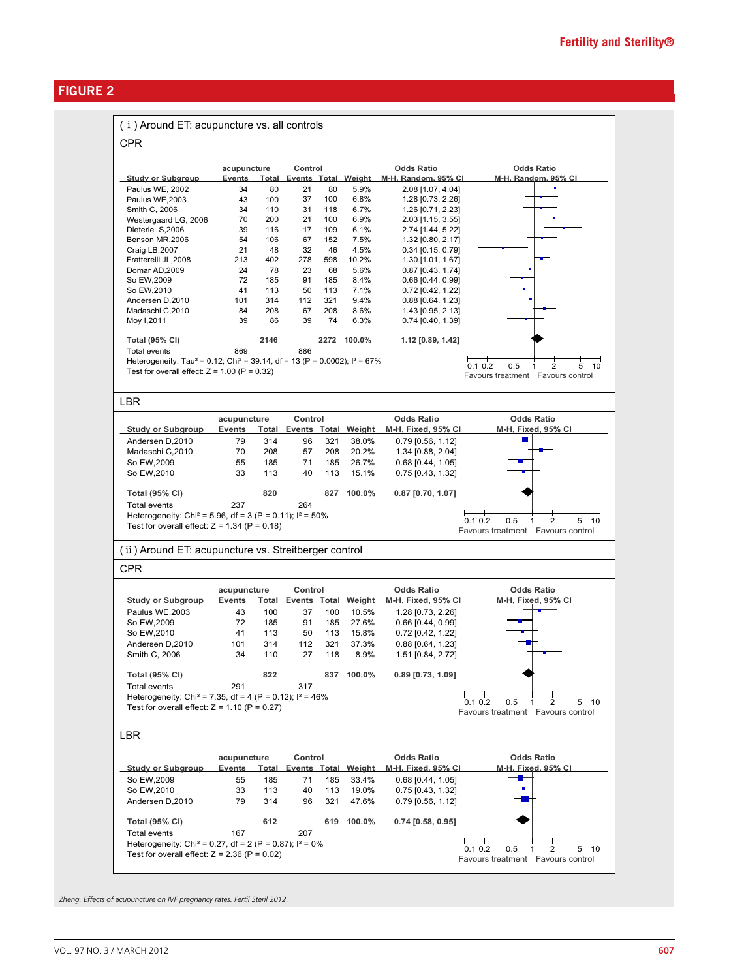# <span id="page-8-0"></span>FIGURE 2

|                                                                                                                                                                                                                             | acupuncture   |      | Control |     |                                  | <b>Odds Ratio</b>                             | <b>Odds Ratio</b>                                                    |
|-----------------------------------------------------------------------------------------------------------------------------------------------------------------------------------------------------------------------------|---------------|------|---------|-----|----------------------------------|-----------------------------------------------|----------------------------------------------------------------------|
| <b>Study or Subgroup</b>                                                                                                                                                                                                    | Events        |      |         |     |                                  | Total Events Total Weight M-H, Random, 95% Cl | M-H, Random, 95% CI                                                  |
| Paulus WE, 2002                                                                                                                                                                                                             | 34            | 80   | 21      | 80  | 5.9%                             | 2.08 [1.07, 4.04]                             |                                                                      |
| Paulus WE, 2003                                                                                                                                                                                                             | 43            | 100  | 37      | 100 | 6.8%                             | 1.28 [0.73, 2.26]                             |                                                                      |
| Smith C, 2006                                                                                                                                                                                                               | 34            | 110  | 31      | 118 | 6.7%                             | 1.26 [0.71, 2.23]                             |                                                                      |
| Westergaard LG, 2006                                                                                                                                                                                                        | 70            | 200  | 21      | 100 | 6.9%                             | 2.03 [1.15, 3.55]                             |                                                                      |
| Dieterle S,2006                                                                                                                                                                                                             | 39            | 116  | 17      | 109 | 6.1%                             | 2.74 [1.44, 5.22]                             |                                                                      |
| Benson MR,2006                                                                                                                                                                                                              | 54            | 106  | 67      | 152 | 7.5%                             | 1.32 [0.80, 2.17]                             |                                                                      |
| Craig LB, 2007                                                                                                                                                                                                              | 21            | 48   | 32      | 46  | 4.5%                             | 0.34 [0.15, 0.79]                             |                                                                      |
| Fratterelli JL, 2008                                                                                                                                                                                                        | 213           | 402  | 278     | 598 | 10.2%                            | 1.30 [1.01, 1.67]                             |                                                                      |
| Domar AD, 2009                                                                                                                                                                                                              | 24            | 78   | 23      | 68  | 5.6%                             | $0.87$ [0.43, 1.74]                           |                                                                      |
| So EW, 2009                                                                                                                                                                                                                 | 72            | 185  | 91      | 185 | 8.4%                             | $0.66$ [0.44, 0.99]                           |                                                                      |
| So EW, 2010                                                                                                                                                                                                                 | 41            | 113  | 50      | 113 | 7.1%                             | 0.72 [0.42, 1.22]                             |                                                                      |
| Andersen D,2010                                                                                                                                                                                                             | 101           | 314  | 112     | 321 | 9.4%                             | $0.88$ [0.64, 1.23]                           |                                                                      |
| Madaschi C,2010                                                                                                                                                                                                             | 84            | 208  | 67      | 208 | 8.6%                             | 1.43 [0.95, 2.13]                             |                                                                      |
| Moy 1,2011                                                                                                                                                                                                                  | 39            | 86   | 39      | 74  | 6.3%                             | 0.74 [0.40, 1.39]                             |                                                                      |
|                                                                                                                                                                                                                             |               |      |         |     |                                  |                                               |                                                                      |
| <b>Total (95% CI)</b>                                                                                                                                                                                                       |               | 2146 |         |     | 2272 100.0%                      | 1.12 [0.89, 1.42]                             |                                                                      |
| <b>Total events</b>                                                                                                                                                                                                         | 869           |      | 886     |     |                                  |                                               |                                                                      |
| Heterogeneity: Tau <sup>2</sup> = 0.12; Chi <sup>2</sup> = 39.14, df = 13 (P = 0.0002); l <sup>2</sup> = 67%                                                                                                                |               |      |         |     |                                  |                                               |                                                                      |
| Test for overall effect: $Z = 1.00$ (P = 0.32)                                                                                                                                                                              |               |      |         |     |                                  |                                               | 0.1 0.2<br>0.5<br>2<br>10<br>5<br>Favours treatment  Favours control |
|                                                                                                                                                                                                                             |               |      |         |     |                                  |                                               |                                                                      |
|                                                                                                                                                                                                                             |               |      |         |     |                                  |                                               |                                                                      |
| <b>LBR</b>                                                                                                                                                                                                                  |               |      |         |     |                                  |                                               |                                                                      |
|                                                                                                                                                                                                                             |               |      |         |     |                                  |                                               |                                                                      |
|                                                                                                                                                                                                                             | acupuncture   |      | Control |     |                                  | <b>Odds Ratio</b>                             | <b>Odds Ratio</b>                                                    |
| <b>Study or Subgroup</b>                                                                                                                                                                                                    | <b>Events</b> |      |         |     |                                  | Total Events Total Weight M-H, Fixed, 95% CI  | <u>M-H, Fixed, 95% CI</u>                                            |
| Andersen D,2010                                                                                                                                                                                                             | 79            | 314  | 96      | 321 | 38.0%                            | $0.79$ [0.56, 1.12]                           |                                                                      |
| Madaschi C,2010                                                                                                                                                                                                             | 70            | 208  | 57      | 208 | 20.2%                            | 1.34 [0.88, 2.04]                             |                                                                      |
| So EW, 2009                                                                                                                                                                                                                 | 55            | 185  | 71      | 185 | 26.7%                            | $0.68$ [0.44, 1.05]                           |                                                                      |
| So EW, 2010                                                                                                                                                                                                                 | 33            | 113  | 40      | 113 | 15.1%                            | 0.75 [0.43, 1.32]                             |                                                                      |
|                                                                                                                                                                                                                             |               |      |         |     |                                  |                                               |                                                                      |
| <b>Total (95% CI)</b>                                                                                                                                                                                                       |               | 820  |         |     | 827 100.0%                       | $0.87$ [0.70, 1.07]                           |                                                                      |
|                                                                                                                                                                                                                             |               |      |         |     |                                  |                                               |                                                                      |
|                                                                                                                                                                                                                             | 237           |      | 264     |     |                                  |                                               |                                                                      |
|                                                                                                                                                                                                                             |               |      |         |     |                                  |                                               |                                                                      |
| <b>Total events</b><br>Heterogeneity: Chi <sup>2</sup> = 5.96, df = 3 (P = 0.11); $I^2$ = 50%<br>Test for overall effect: $Z = 1.34$ (P = 0.18)                                                                             |               |      |         |     |                                  |                                               | 0.1 0.2<br>0.5<br>$\overline{2}$<br>5<br>10<br>1                     |
|                                                                                                                                                                                                                             |               |      |         |     |                                  |                                               | Favours treatment Favours control                                    |
|                                                                                                                                                                                                                             |               |      |         |     |                                  |                                               |                                                                      |
|                                                                                                                                                                                                                             |               |      |         |     |                                  |                                               |                                                                      |
|                                                                                                                                                                                                                             |               |      |         |     |                                  |                                               |                                                                      |
|                                                                                                                                                                                                                             | acupuncture   |      | Control |     |                                  | <b>Odds Ratio</b>                             | <b>Odds Ratio</b>                                                    |
|                                                                                                                                                                                                                             | Events        |      |         |     |                                  | Total Events Total Weight M-H, Fixed, 95% CI  | <b>M-H, Fixed, 95% CI</b>                                            |
|                                                                                                                                                                                                                             | 43            | 100  | 37      | 100 | 10.5%                            | 1.28 [0.73, 2.26]                             |                                                                      |
|                                                                                                                                                                                                                             | 72            | 185  | 91      | 185 | 27.6%                            | $0.66$ [0.44, 0.99]                           |                                                                      |
|                                                                                                                                                                                                                             | 41            | 113  | 50      | 113 | 15.8%                            | 0.72 [0.42, 1.22]                             |                                                                      |
|                                                                                                                                                                                                                             | 101           | 314  | 112     | 321 | 37.3%                            | $0.88$ [0.64, 1.23]                           |                                                                      |
|                                                                                                                                                                                                                             | 34            | 110  | 27      | 118 | 8.9%                             | 1.51 [0.84, 2.72]                             |                                                                      |
|                                                                                                                                                                                                                             |               |      |         |     |                                  |                                               |                                                                      |
|                                                                                                                                                                                                                             |               | 822  |         |     | 837 100.0%                       | 0.89 [0.73, 1.09]                             |                                                                      |
| (ii) Around ET: acupuncture vs. Streitberger control<br><b>CPR</b><br><b>Study or Subgroup</b><br>Paulus WE,2003<br>So EW, 2009<br>So EW, 2010<br>Andersen D,2010<br>Smith C, 2006<br><b>Total (95% CI)</b><br>Total events | 291           |      | 317     |     |                                  |                                               |                                                                      |
|                                                                                                                                                                                                                             |               |      |         |     |                                  |                                               |                                                                      |
|                                                                                                                                                                                                                             |               |      |         |     |                                  |                                               | 0.5<br>0.1 0.2<br>2<br>5<br>10<br>1                                  |
|                                                                                                                                                                                                                             |               |      |         |     |                                  |                                               | Favours treatment  Favours control                                   |
| Heterogeneity: Chi <sup>2</sup> = 7.35, df = 4 (P = 0.12); $I^2$ = 46%<br>Test for overall effect: $Z = 1.10$ (P = 0.27)                                                                                                    |               |      |         |     |                                  |                                               |                                                                      |
|                                                                                                                                                                                                                             |               |      |         |     |                                  |                                               |                                                                      |
|                                                                                                                                                                                                                             |               |      |         |     |                                  |                                               |                                                                      |
|                                                                                                                                                                                                                             | acupuncture   |      | Control |     |                                  | <b>Odds Ratio</b>                             | <b>Odds Ratio</b>                                                    |
|                                                                                                                                                                                                                             | Events        |      |         |     | <b>Total Events Total Weight</b> | <u>M-H, Fixed, 95% CI</u>                     | M-H, Fixed, 95% CI                                                   |
| So EW, 2009                                                                                                                                                                                                                 | 55            | 185  | 71      | 185 | 33.4%                            | $0.68$ [0.44, 1.05]                           | ╍                                                                    |
|                                                                                                                                                                                                                             | 33            | 113  | 40      | 113 | 19.0%                            | 0.75 [0.43, 1.32]                             |                                                                      |
|                                                                                                                                                                                                                             | 79            | 314  | 96      |     |                                  |                                               |                                                                      |
|                                                                                                                                                                                                                             |               |      |         | 321 | 47.6%                            | $0.79$ [0.56, 1.12]                           |                                                                      |
|                                                                                                                                                                                                                             |               |      |         |     |                                  |                                               |                                                                      |
| <b>LBR</b><br><b>Study or Subgroup</b><br>So EW, 2010<br>Andersen D,2010<br><b>Total (95% CI)</b>                                                                                                                           |               | 612  |         |     | 619 100.0%                       | $0.74$ [0.58, 0.95]                           |                                                                      |
| Total events<br>Heterogeneity: Chi <sup>2</sup> = 0.27, df = 2 (P = 0.87); $I^2 = 0\%$                                                                                                                                      | 167           |      | 207     |     |                                  |                                               |                                                                      |

Zheng. Effects of acupuncture on IVF pregnancy rates. Fertil Steril 2012.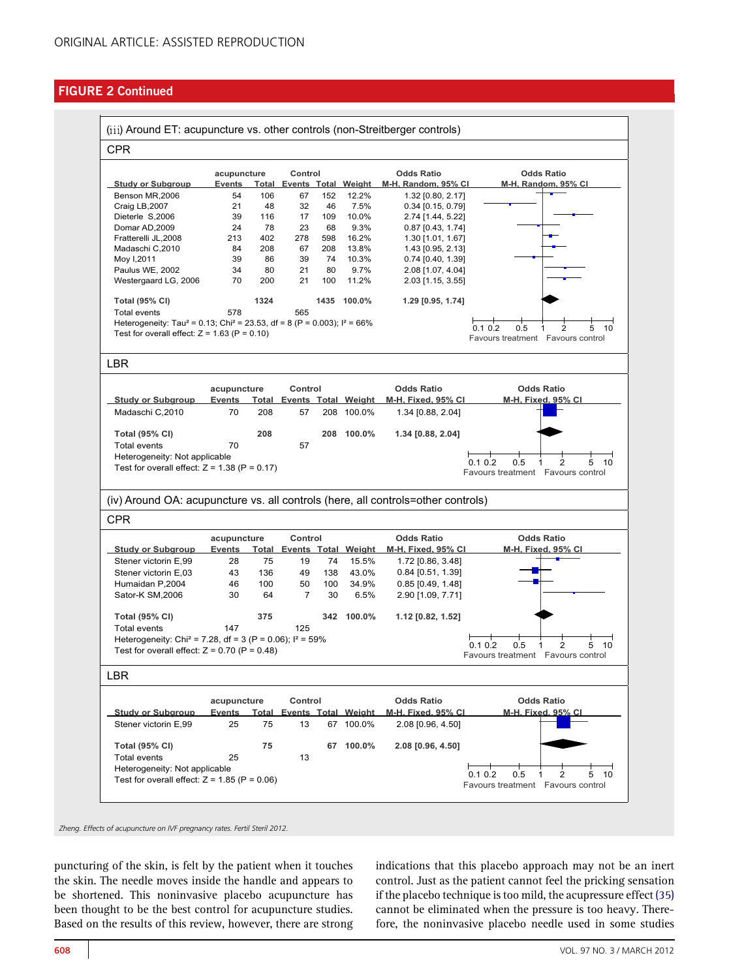## FIGURE 2 Continued



Zheng. Effects of acupuncture on IVF pregnancy rates. Fertil Steril 2012.

puncturing of the skin, is felt by the patient when it touches the skin. The needle moves inside the handle and appears to be shortened. This noninvasive placebo acupuncture has been thought to be the best control for acupuncture studies. Based on the results of this review, however, there are strong

indications that this placebo approach may not be an inert control. Just as the patient cannot feel the pricking sensation if the placebo technique is too mild, the acupressure effect [\(35\)](#page-12-0) cannot be eliminated when the pressure is too heavy. Therefore, the noninvasive placebo needle used in some studies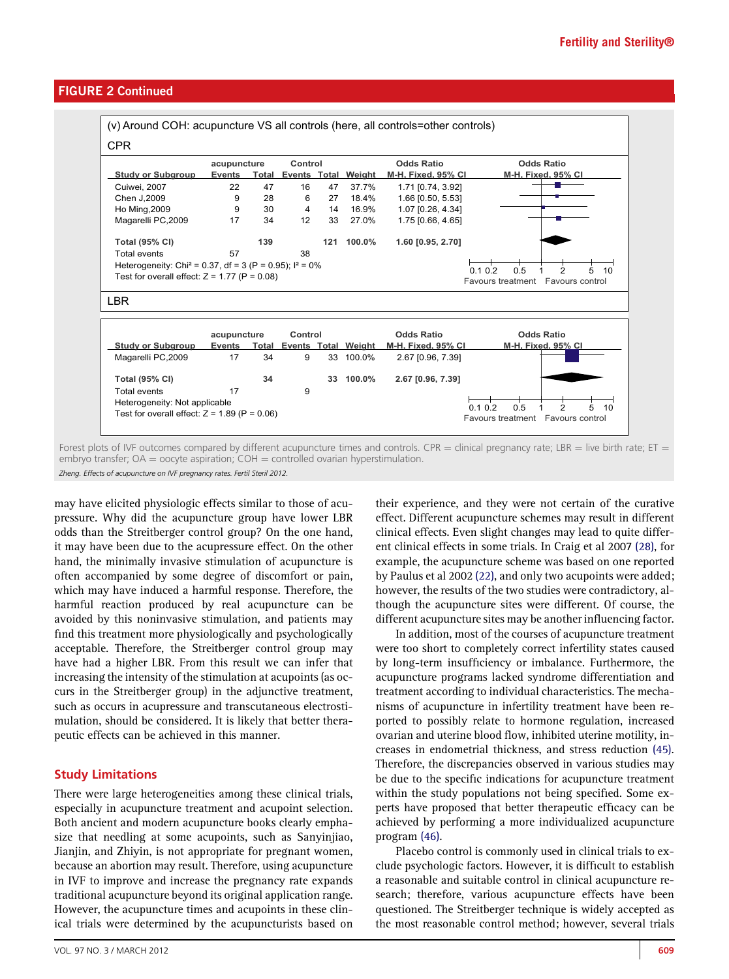## FIGURE 2 Continued

|                                                | acupuncture   |     | Control                                                               |     |           | <b>Odds Ratio</b>  | <b>Odds Ratio</b>                 |
|------------------------------------------------|---------------|-----|-----------------------------------------------------------------------|-----|-----------|--------------------|-----------------------------------|
| <b>Study or Subgroup</b>                       | <b>Events</b> |     | <b>Total Events Total Weight</b>                                      |     |           | M-H, Fixed, 95% CI | M-H, Fixed, 95% CI                |
| Cuiwei, 2007                                   | 22            | 47  | 16                                                                    | 47  | 37.7%     | 1.71 [0.74, 3.92]  |                                   |
| Chen J,2009                                    | 9             | 28  | 6                                                                     | 27  | 18.4%     | 1.66 [0.50, 5.53]  |                                   |
| Ho Ming, 2009                                  | 9             | 30  | 4                                                                     | 14  | 16.9%     | 1.07 [0.26, 4.34]  |                                   |
| Magarelli PC,2009                              | 17            | 34  | 12                                                                    | 33  | 27.0%     | 1.75 [0.66, 4.65]  |                                   |
| <b>Total (95% CI)</b>                          |               | 139 |                                                                       | 121 | 100.0%    | 1.60 [0.95, 2.70]  |                                   |
| Total events                                   | 57            |     | 38                                                                    |     |           |                    |                                   |
| Test for overall effect: $Z = 1.77$ (P = 0.08) |               |     | Heterogeneity: Chi <sup>2</sup> = 0.37, df = 3 (P = 0.95); $1^2$ = 0% |     |           |                    | 0.10.2<br>0.5<br>2<br>10          |
| LBR.                                           |               |     |                                                                       |     |           |                    | Favours treatment Favours control |
|                                                | acupuncture   |     | Control                                                               |     |           | <b>Odds Ratio</b>  | <b>Odds Ratio</b>                 |
| <b>Study or Subgroup</b>                       | <b>Events</b> |     | <b>Total Events Total Weight</b>                                      |     |           | M-H, Fixed, 95% CI | M-H. Fixed. 95% CI                |
| Magarelli PC,2009                              | 17            | 34  | 9                                                                     |     | 33 100.0% | 2.67 [0.96, 7.39]  |                                   |
| <b>Total (95% CI)</b>                          |               | 34  |                                                                       |     | 33 100.0% | 2.67 [0.96, 7.39]  |                                   |
| Total events                                   | 17            |     | 9                                                                     |     |           |                    |                                   |
| Heterogeneity: Not applicable                  |               |     |                                                                       |     |           | 0.10.2             | 0.5<br>$\mathcal{P}$<br>10<br>5   |

Forest plots of IVF outcomes compared by different acupuncture times and controls. CPR  $=$  clinical pregnancy rate; LBR  $=$  live birth rate; ET  $=$ embryo transfer; OA  $=$  oocyte aspiration; COH  $=$  controlled ovarian hyperstimulation. Zheng. Effects of acupuncture on IVF pregnancy rates. Fertil Steril 2012.

may have elicited physiologic effects similar to those of acupressure. Why did the acupuncture group have lower LBR odds than the Streitberger control group? On the one hand, it may have been due to the acupressure effect. On the other hand, the minimally invasive stimulation of acupuncture is often accompanied by some degree of discomfort or pain, which may have induced a harmful response. Therefore, the harmful reaction produced by real acupuncture can be avoided by this noninvasive stimulation, and patients may find this treatment more physiologically and psychologically acceptable. Therefore, the Streitberger control group may have had a higher LBR. From this result we can infer that increasing the intensity of the stimulation at acupoints (as occurs in the Streitberger group) in the adjunctive treatment, such as occurs in acupressure and transcutaneous electrostimulation, should be considered. It is likely that better therapeutic effects can be achieved in this manner.

## Study Limitations

There were large heterogeneities among these clinical trials, especially in acupuncture treatment and acupoint selection. Both ancient and modern acupuncture books clearly emphasize that needling at some acupoints, such as Sanyinjiao, Jianjin, and Zhiyin, is not appropriate for pregnant women, because an abortion may result. Therefore, using acupuncture in IVF to improve and increase the pregnancy rate expands traditional acupuncture beyond its original application range. However, the acupuncture times and acupoints in these clinical trials were determined by the acupuncturists based on

their experience, and they were not certain of the curative effect. Different acupuncture schemes may result in different clinical effects. Even slight changes may lead to quite different clinical effects in some trials. In Craig et al 2007 [\(28\)](#page-11-0), for example, the acupuncture scheme was based on one reported by Paulus et al 2002 [\(22\),](#page-11-0) and only two acupoints were added; however, the results of the two studies were contradictory, although the acupuncture sites were different. Of course, the different acupuncture sites may be another influencing factor.

In addition, most of the courses of acupuncture treatment were too short to completely correct infertility states caused by long-term insufficiency or imbalance. Furthermore, the acupuncture programs lacked syndrome differentiation and treatment according to individual characteristics. The mechanisms of acupuncture in infertility treatment have been reported to possibly relate to hormone regulation, increased ovarian and uterine blood flow, inhibited uterine motility, increases in endometrial thickness, and stress reduction [\(45\).](#page-12-0) Therefore, the discrepancies observed in various studies may be due to the specific indications for acupuncture treatment within the study populations not being specified. Some experts have proposed that better therapeutic efficacy can be achieved by performing a more individualized acupuncture program [\(46\)](#page-12-0).

Placebo control is commonly used in clinical trials to exclude psychologic factors. However, it is difficult to establish a reasonable and suitable control in clinical acupuncture research; therefore, various acupuncture effects have been questioned. The Streitberger technique is widely accepted as the most reasonable control method; however, several trials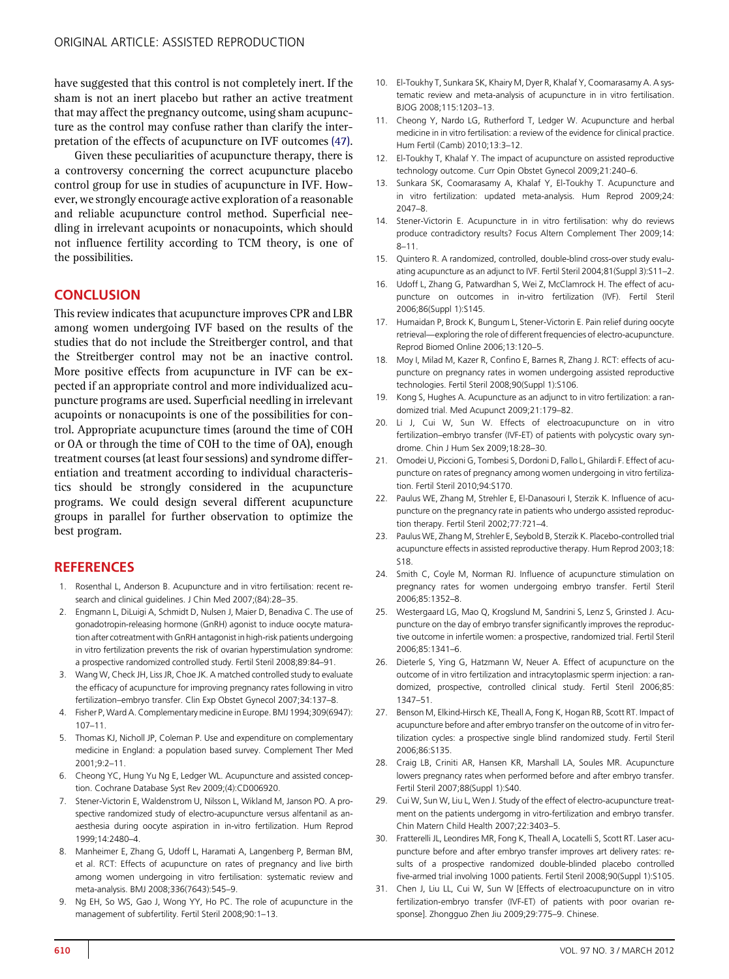<span id="page-11-0"></span>have suggested that this control is not completely inert. If the sham is not an inert placebo but rather an active treatment that may affect the pregnancy outcome, using sham acupuncture as the control may confuse rather than clarify the interpretation of the effects of acupuncture on IVF outcomes [\(47\).](#page-12-0)

Given these peculiarities of acupuncture therapy, there is a controversy concerning the correct acupuncture placebo control group for use in studies of acupuncture in IVF. However, we strongly encourage active exploration of a reasonable and reliable acupuncture control method. Superficial needling in irrelevant acupoints or nonacupoints, which should not influence fertility according to TCM theory, is one of the possibilities.

## **CONCLUSION**

This review indicates that acupuncture improves CPR and LBR among women undergoing IVF based on the results of the studies that do not include the Streitberger control, and that the Streitberger control may not be an inactive control. More positive effects from acupuncture in IVF can be expected if an appropriate control and more individualized acupuncture programs are used. Superficial needling in irrelevant acupoints or nonacupoints is one of the possibilities for control. Appropriate acupuncture times (around the time of COH or OA or through the time of COH to the time of OA), enough treatment courses (at least four sessions) and syndrome differentiation and treatment according to individual characteristics should be strongly considered in the acupuncture programs. We could design several different acupuncture groups in parallel for further observation to optimize the best program.

## **REFERENCES**

- 1. Rosenthal L, Anderson B. Acupuncture and in vitro fertilisation: recent research and clinical guidelines. J Chin Med 2007;(84):28–35.
- 2. Engmann L, DiLuigi A, Schmidt D, Nulsen J, Maier D, Benadiva C. The use of gonadotropin-releasing hormone (GnRH) agonist to induce oocyte maturation after cotreatment with GnRH antagonist in high-risk patients undergoing in vitro fertilization prevents the risk of ovarian hyperstimulation syndrome: a prospective randomized controlled study. Fertil Steril 2008;89:84–91.
- 3. Wang W, Check JH, Liss JR, Choe JK. A matched controlled study to evaluate the efficacy of acupuncture for improving pregnancy rates following in vitro fertilization–embryo transfer. Clin Exp Obstet Gynecol 2007;34:137–8.
- 4. Fisher P, Ward A. Complementary medicine in Europe. BMJ 1994;309(6947): 107–11.
- Thomas KJ, Nicholl JP, Coleman P. Use and expenditure on complementary medicine in England: a population based survey. Complement Ther Med 2001;9:2–11.
- 6. Cheong YC, Hung Yu Ng E, Ledger WL. Acupuncture and assisted conception. Cochrane Database Syst Rev 2009;(4):CD006920.
- 7. Stener-Victorin E, Waldenstrom U, Nilsson L, Wikland M, Janson PO. A prospective randomized study of electro-acupuncture versus alfentanil as anaesthesia during oocyte aspiration in in-vitro fertilization. Hum Reprod 1999;14:2480–4.
- 8. Manheimer E, Zhang G, Udoff L, Haramati A, Langenberg P, Berman BM, et al. RCT: Effects of acupuncture on rates of pregnancy and live birth among women undergoing in vitro fertilisation: systematic review and meta-analysis. BMJ 2008;336(7643):545–9.
- 9. Ng EH, So WS, Gao J, Wong YY, Ho PC. The role of acupuncture in the management of subfertility. Fertil Steril 2008;90:1–13.
- 10. El-Toukhy T, Sunkara SK, Khairy M, Dyer R, Khalaf Y, Coomarasamy A. A systematic review and meta-analysis of acupuncture in in vitro fertilisation. BJOG 2008;115:1203–13.
- 11. Cheong Y, Nardo LG, Rutherford T, Ledger W. Acupuncture and herbal medicine in in vitro fertilisation: a review of the evidence for clinical practice. Hum Fertil (Camb) 2010;13:3–12.
- 12. El-Toukhy T, Khalaf Y. The impact of acupuncture on assisted reproductive technology outcome. Curr Opin Obstet Gynecol 2009;21:240–6.
- 13. Sunkara SK, Coomarasamy A, Khalaf Y, El-Toukhy T. Acupuncture and in vitro fertilization: updated meta-analysis. Hum Reprod 2009;24: 2047–8.
- 14. Stener-Victorin E. Acupuncture in in vitro fertilisation: why do reviews produce contradictory results? Focus Altern Complement Ther 2009;14: 8–11.
- 15. Quintero R. A randomized, controlled, double-blind cross-over study evaluating acupuncture as an adjunct to IVF. Fertil Steril 2004;81(Suppl 3):S11–2.
- 16. Udoff L, Zhang G, Patwardhan S, Wei Z, McClamrock H. The effect of acupuncture on outcomes in in-vitro fertilization (IVF). Fertil Steril 2006;86(Suppl 1):S145.
- 17. Humaidan P, Brock K, Bungum L, Stener-Victorin E. Pain relief during oocyte retrieval—exploring the role of different frequencies of electro-acupuncture. Reprod Biomed Online 2006;13:120–5.
- 18. Moy I, Milad M, Kazer R, Confino E, Barnes R, Zhang J. RCT: effects of acupuncture on pregnancy rates in women undergoing assisted reproductive technologies. Fertil Steril 2008;90(Suppl 1):S106.
- 19. Kong S, Hughes A. Acupuncture as an adjunct to in vitro fertilization: a randomized trial. Med Acupunct 2009;21:179–82.
- 20. Li J, Cui W, Sun W. Effects of electroacupuncture on in vitro fertilization–embryo transfer (IVF-ET) of patients with polycystic ovary syndrome. Chin J Hum Sex 2009;18:28–30.
- 21. Omodei U, Piccioni G, Tombesi S, Dordoni D, Fallo L, Ghilardi F. Effect of acupuncture on rates of pregnancy among women undergoing in vitro fertilization. Fertil Steril 2010;94:S170.
- 22. Paulus WE, Zhang M, Strehler E, El-Danasouri I, Sterzik K. Influence of acupuncture on the pregnancy rate in patients who undergo assisted reproduction therapy. Fertil Steril 2002;77:721–4.
- 23. Paulus WE, Zhang M, Strehler E, Seybold B, Sterzik K. Placebo-controlled trial acupuncture effects in assisted reproductive therapy. Hum Reprod 2003;18: S18.
- 24. Smith C, Coyle M, Norman RJ. Influence of acupuncture stimulation on pregnancy rates for women undergoing embryo transfer. Fertil Steril 2006;85:1352–8.
- 25. Westergaard LG, Mao Q, Krogslund M, Sandrini S, Lenz S, Grinsted J. Acupuncture on the day of embryo transfer significantly improves the reproductive outcome in infertile women: a prospective, randomized trial. Fertil Steril 2006;85:1341–6.
- 26. Dieterle S, Ying G, Hatzmann W, Neuer A. Effect of acupuncture on the outcome of in vitro fertilization and intracytoplasmic sperm injection: a randomized, prospective, controlled clinical study. Fertil Steril 2006;85: 1347–51.
- 27. Benson M, Elkind-Hirsch KE, Theall A, Fong K, Hogan RB, Scott RT. Impact of acupuncture before and after embryo transfer on the outcome of in vitro fertilization cycles: a prospective single blind randomized study. Fertil Steril 2006;86:S135.
- 28. Craig LB, Criniti AR, Hansen KR, Marshall LA, Soules MR. Acupuncture lowers pregnancy rates when performed before and after embryo transfer. Fertil Steril 2007;88(Suppl 1):S40.
- 29. Cui W, Sun W, Liu L, Wen J. Study of the effect of electro-acupuncture treatment on the patients undergomg in vitro-fertilization and embryo transfer. Chin Matern Child Health 2007;22:3403–5.
- 30. Fratterelli JL, Leondires MR, Fong K, Theall A, Locatelli S, Scott RT. Laser acupuncture before and after embryo transfer improves art delivery rates: results of a prospective randomized double-blinded placebo controlled five-armed trial involving 1000 patients. Fertil Steril 2008;90(Suppl 1):S105.
- 31. Chen J, Liu LL, Cui W, Sun W [Effects of electroacupuncture on in vitro fertilization-embryo transfer (IVF-ET) of patients with poor ovarian response]. Zhongguo Zhen Jiu 2009;29:775–9. Chinese.